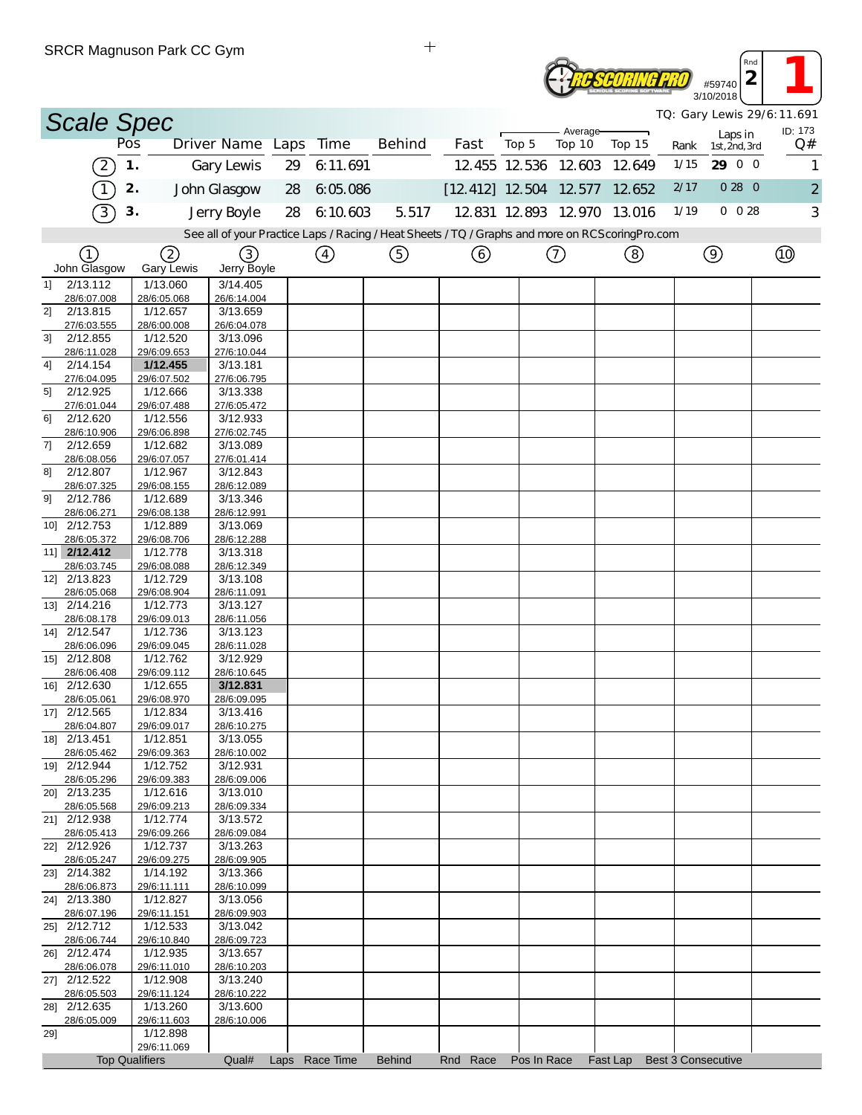| #59740<br><b>NG SOFTWARE</b><br>3/10/2018 | Rnd |  |
|-------------------------------------------|-----|--|
|                                           |     |  |

*TQ: Gary Lewis 29/6:11.691*

| <i>IQ: Gary Lewis 29/6:11.691</i><br><b>Scale Spec</b><br>ID: 173<br>Average-<br>Laps in<br>Driver Name Laps Time |                             |               |                         |                         |    |                |                                                                                                   |                          |                      |               |          |      |                           |                |
|-------------------------------------------------------------------------------------------------------------------|-----------------------------|---------------|-------------------------|-------------------------|----|----------------|---------------------------------------------------------------------------------------------------|--------------------------|----------------------|---------------|----------|------|---------------------------|----------------|
|                                                                                                                   |                             | Pos           |                         |                         |    |                | <b>Behind</b>                                                                                     | Fast                     | Top 5                | Top 10        | Top 15   | Rank | 1st, 2nd, 3rd             | Q#             |
|                                                                                                                   | $\left[2\right]$            | $\mathbf 1$ . |                         | Gary Lewis              | 29 | 6:11.691       |                                                                                                   |                          | 12.455 12.536 12.603 |               | 12.649   | 1/15 | 29 0 0                    |                |
|                                                                                                                   | $\tau$                      | 2.            |                         | John Glasgow            | 28 | 6:05.086       |                                                                                                   | $[12.412]$ 12.504 12.577 |                      |               | 12.652   | 2/17 | 0280                      | $\overline{2}$ |
|                                                                                                                   | 3                           | 3.            |                         | Jerry Boyle             | 28 | 6:10.603       | 5.517                                                                                             |                          | 12 831 12 893 12 970 |               | 13.016   | 1/19 | $0\ 0\ 28$                | 3              |
|                                                                                                                   |                             |               |                         |                         |    |                | See all of your Practice Laps / Racing / Heat Sheets / TQ / Graphs and more on RCS coring Pro.com |                          |                      |               |          |      |                           |                |
|                                                                                                                   | (1)                         |               | 2                       | (3)                     |    | $\circled{4}$  | ⑤                                                                                                 | (6)                      |                      | $\circled{7}$ | (8)      |      | $\circledcirc$            | $^{\circledR}$ |
|                                                                                                                   | John Glasgow                |               | <b>Gary Lewis</b>       | Jerry Boyle             |    |                |                                                                                                   |                          |                      |               |          |      |                           |                |
| 1]                                                                                                                | 2/13.112                    |               | 1/13.060                | 3/14.405                |    |                |                                                                                                   |                          |                      |               |          |      |                           |                |
| 2]                                                                                                                | 28/6:07.008<br>2/13.815     |               | 28/6:05.068<br>1/12.657 | 26/6:14.004<br>3/13.659 |    |                |                                                                                                   |                          |                      |               |          |      |                           |                |
|                                                                                                                   | 27/6:03.555                 |               | 28/6:00.008             | 26/6:04.078             |    |                |                                                                                                   |                          |                      |               |          |      |                           |                |
| 31                                                                                                                | 2/12.855<br>28/6:11.028     |               | 1/12.520<br>29/6:09.653 | 3/13.096<br>27/6:10.044 |    |                |                                                                                                   |                          |                      |               |          |      |                           |                |
| 4]                                                                                                                | 2/14.154                    |               | 1/12.455                | 3/13.181                |    |                |                                                                                                   |                          |                      |               |          |      |                           |                |
|                                                                                                                   | 27/6:04.095<br>2/12.925     |               | 29/6:07.502<br>1/12.666 | 27/6:06.795<br>3/13.338 |    |                |                                                                                                   |                          |                      |               |          |      |                           |                |
| 5]                                                                                                                | 27/6:01.044                 |               | 29/6:07.488             | 27/6:05.472             |    |                |                                                                                                   |                          |                      |               |          |      |                           |                |
| 61                                                                                                                | 2/12.620                    |               | 1/12.556                | 3/12.933                |    |                |                                                                                                   |                          |                      |               |          |      |                           |                |
| 7]                                                                                                                | 28/6:10.906<br>2/12.659     |               | 29/6:06.898<br>1/12.682 | 27/6:02.745<br>3/13.089 |    |                |                                                                                                   |                          |                      |               |          |      |                           |                |
|                                                                                                                   | 28/6:08.056                 |               | 29/6:07.057             | 27/6:01.414             |    |                |                                                                                                   |                          |                      |               |          |      |                           |                |
| 81                                                                                                                | 2/12.807<br>28/6:07.325     |               | 1/12.967<br>29/6:08.155 | 3/12.843<br>28/6:12.089 |    |                |                                                                                                   |                          |                      |               |          |      |                           |                |
| 9]                                                                                                                | 2/12.786                    |               | 1/12.689                | 3/13.346                |    |                |                                                                                                   |                          |                      |               |          |      |                           |                |
|                                                                                                                   | 28/6:06.271                 |               | 29/6:08.138             | 28/6:12.991             |    |                |                                                                                                   |                          |                      |               |          |      |                           |                |
|                                                                                                                   | 10] 2/12.753<br>28/6:05.372 |               | 1/12.889<br>29/6:08.706 | 3/13.069<br>28/6:12.288 |    |                |                                                                                                   |                          |                      |               |          |      |                           |                |
|                                                                                                                   | 11] 2/12.412                |               | 1/12.778                | 3/13.318                |    |                |                                                                                                   |                          |                      |               |          |      |                           |                |
|                                                                                                                   | 28/6:03.745<br>12] 2/13.823 |               | 29/6:08.088<br>1/12.729 | 28/6:12.349<br>3/13.108 |    |                |                                                                                                   |                          |                      |               |          |      |                           |                |
|                                                                                                                   | 28/6:05.068                 |               | 29/6:08.904             | 28/6:11.091             |    |                |                                                                                                   |                          |                      |               |          |      |                           |                |
|                                                                                                                   | 13] 2/14.216                |               | 1/12.773                | 3/13.127                |    |                |                                                                                                   |                          |                      |               |          |      |                           |                |
|                                                                                                                   | 28/6:08.178<br>14] 2/12.547 |               | 29/6:09.013<br>1/12.736 | 28/6:11.056<br>3/13.123 |    |                |                                                                                                   |                          |                      |               |          |      |                           |                |
|                                                                                                                   | 28/6:06.096                 |               | 29/6:09.045             | 28/6:11.028             |    |                |                                                                                                   |                          |                      |               |          |      |                           |                |
|                                                                                                                   | 15] 2/12.808<br>28/6:06.408 |               | 1/12.762<br>29/6:09.112 | 3/12.929<br>28/6:10.645 |    |                |                                                                                                   |                          |                      |               |          |      |                           |                |
|                                                                                                                   | 16] 2/12.630                |               | 1/12.655                | 3/12.831                |    |                |                                                                                                   |                          |                      |               |          |      |                           |                |
|                                                                                                                   | 28/6:05.061<br>17] 2/12.565 |               | 29/6:08.970<br>1/12.834 | 28/6:09.095<br>3/13.416 |    |                |                                                                                                   |                          |                      |               |          |      |                           |                |
|                                                                                                                   | 28/6:04.807                 |               | 29/6:09.017             | 28/6:10.275             |    |                |                                                                                                   |                          |                      |               |          |      |                           |                |
|                                                                                                                   | 18] 2/13.451                |               | 1/12.851                | 3/13.055                |    |                |                                                                                                   |                          |                      |               |          |      |                           |                |
|                                                                                                                   | 28/6:05.462<br>19] 2/12.944 |               | 29/6:09.363<br>1/12.752 | 28/6:10.002<br>3/12.931 |    |                |                                                                                                   |                          |                      |               |          |      |                           |                |
|                                                                                                                   | 28/6:05.296                 |               | 29/6:09.383             | 28/6:09.006             |    |                |                                                                                                   |                          |                      |               |          |      |                           |                |
|                                                                                                                   | 20] 2/13.235<br>28/6:05.568 |               | 1/12.616<br>29/6:09.213 | 3/13.010<br>28/6:09.334 |    |                |                                                                                                   |                          |                      |               |          |      |                           |                |
|                                                                                                                   | 21] 2/12.938                |               | 1/12.774                | 3/13.572                |    |                |                                                                                                   |                          |                      |               |          |      |                           |                |
|                                                                                                                   | 28/6:05.413<br>22] 2/12.926 |               | 29/6:09.266<br>1/12.737 | 28/6:09.084<br>3/13.263 |    |                |                                                                                                   |                          |                      |               |          |      |                           |                |
|                                                                                                                   | 28/6:05.247                 |               | 29/6:09.275             | 28/6:09.905             |    |                |                                                                                                   |                          |                      |               |          |      |                           |                |
|                                                                                                                   | 23] 2/14.382                |               | 1/14.192                | 3/13.366                |    |                |                                                                                                   |                          |                      |               |          |      |                           |                |
|                                                                                                                   | 28/6:06.873<br>24] 2/13.380 |               | 29/6:11.111<br>1/12.827 | 28/6:10.099<br>3/13.056 |    |                |                                                                                                   |                          |                      |               |          |      |                           |                |
|                                                                                                                   | 28/6:07.196                 |               | 29/6:11.151             | 28/6:09.903             |    |                |                                                                                                   |                          |                      |               |          |      |                           |                |
|                                                                                                                   | 25] 2/12.712<br>28/6:06.744 |               | 1/12.533<br>29/6:10.840 | 3/13.042<br>28/6:09.723 |    |                |                                                                                                   |                          |                      |               |          |      |                           |                |
|                                                                                                                   | 26] 2/12.474                |               | 1/12.935                | 3/13.657                |    |                |                                                                                                   |                          |                      |               |          |      |                           |                |
|                                                                                                                   | 28/6:06.078                 |               | 29/6:11.010             | 28/6:10.203             |    |                |                                                                                                   |                          |                      |               |          |      |                           |                |
|                                                                                                                   | 27] 2/12.522<br>28/6:05.503 |               | 1/12.908<br>29/6:11.124 | 3/13.240<br>28/6:10.222 |    |                |                                                                                                   |                          |                      |               |          |      |                           |                |
|                                                                                                                   | 28] 2/12.635                |               | 1/13.260                | 3/13.600                |    |                |                                                                                                   |                          |                      |               |          |      |                           |                |
| 29]                                                                                                               | 28/6:05.009                 |               | 29/6:11.603<br>1/12.898 | 28/6:10.006             |    |                |                                                                                                   |                          |                      |               |          |      |                           |                |
|                                                                                                                   |                             |               | 29/6:11.069             |                         |    |                |                                                                                                   |                          |                      |               |          |      |                           |                |
|                                                                                                                   |                             |               | <b>Top Qualifiers</b>   | Qual#                   |    | Laps Race Time | <b>Behind</b>                                                                                     | Rnd Race                 | Pos In Race          |               | Fast Lap |      | <b>Best 3 Consecutive</b> |                |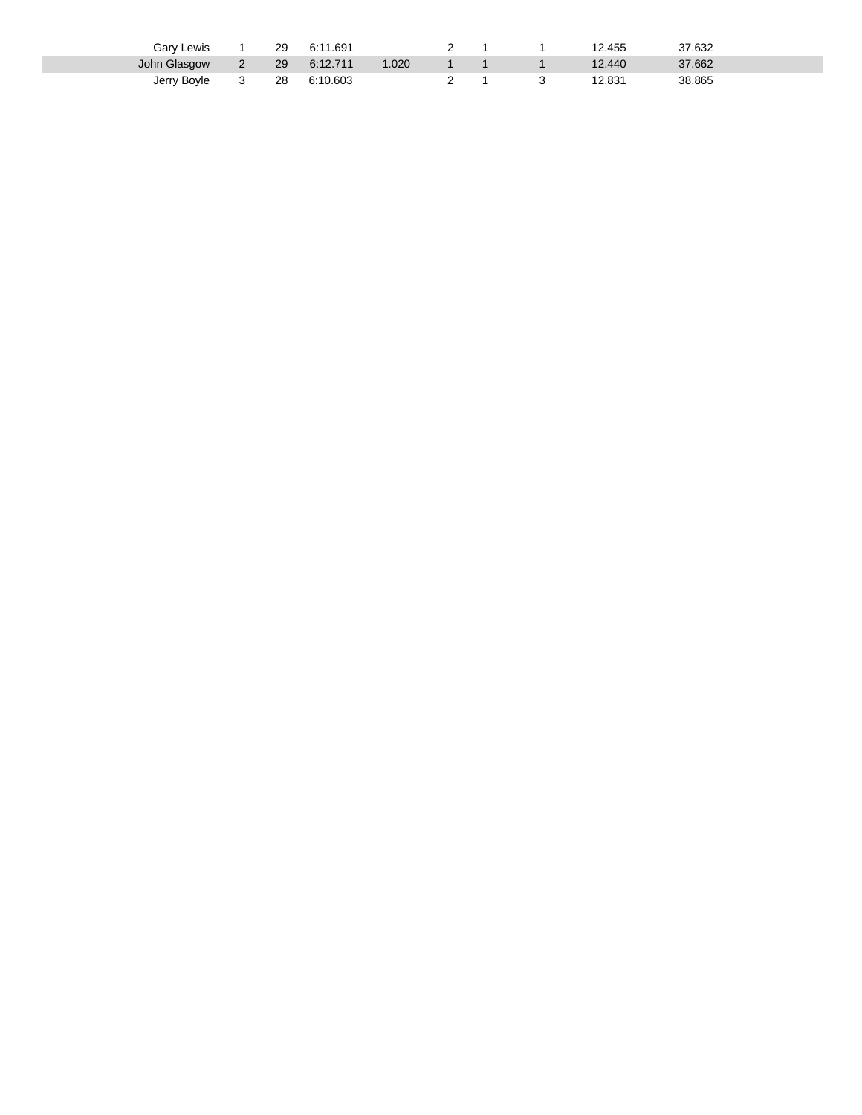| Gary Lewis   | 29 | 1.691<br>-6:1 |      |  | 12.455 | 37.632 |  |
|--------------|----|---------------|------|--|--------|--------|--|
| John Glasgow | 29 | 6:12.711      | .020 |  | 12.440 | 37.662 |  |
| Jerry Boyle  | 28 | 6:10.603      |      |  | 2.831  | 38.865 |  |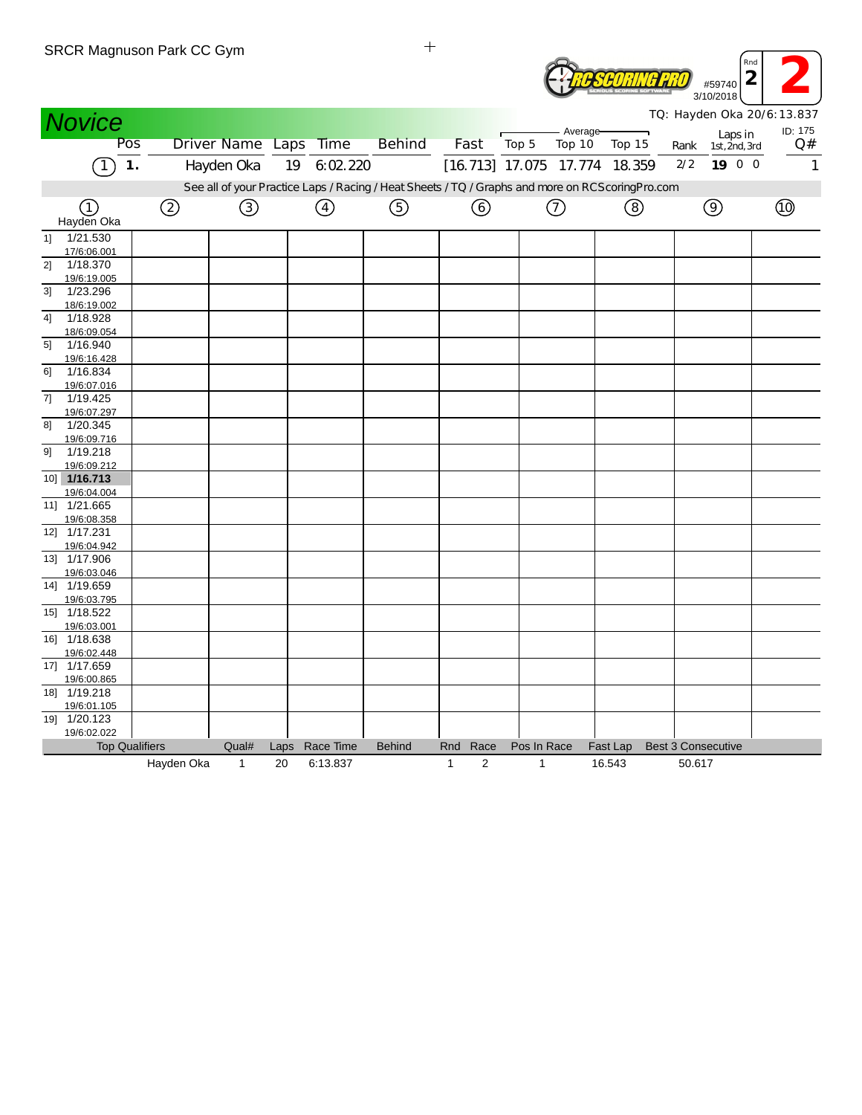|    |                             | SRUR Magnuson Park UU Gym |                  |      |             |                                                                                                  |                                |       |               |                      |          |                           | Rnd<br>$\overline{2}$<br>#59740<br>3/10/2018 |                                       |
|----|-----------------------------|---------------------------|------------------|------|-------------|--------------------------------------------------------------------------------------------------|--------------------------------|-------|---------------|----------------------|----------|---------------------------|----------------------------------------------|---------------------------------------|
|    | <b>Novice</b>               |                           |                  |      |             |                                                                                                  |                                |       |               |                      |          |                           |                                              | TQ: Hayden Oka 20/6:13.837<br>ID: 175 |
|    | Pos                         |                           | Driver Name Laps |      | <b>Time</b> | <b>Behind</b>                                                                                    | Fast                           | Top 5 |               | - Average-<br>Top 10 | Top 15   | Rank                      | Laps in<br>1st, 2nd, 3rd                     | Q#                                    |
|    | 1.                          |                           | Hayden Oka       | 19   | 6.02.220    |                                                                                                  | [16.713] 17.075 17.774 18.359  |       |               |                      |          | 2/2                       | 19 0 0                                       | 1                                     |
|    |                             |                           |                  |      |             |                                                                                                  |                                |       |               |                      |          |                           |                                              |                                       |
|    |                             |                           |                  |      |             | See all of your Practice Laps / Racing / Heat Sheets / TQ / Graphs and more on RCScoring Pro.com |                                |       |               |                      |          |                           |                                              |                                       |
|    | (1)<br>Hayden Oka           | ②                         | ③                |      | ④           | ⑤                                                                                                | ⊙                              |       | $\circled{1}$ |                      | (8)      |                           | $\circledcirc$                               | <b>to</b>                             |
| 11 | 1/21.530                    |                           |                  |      |             |                                                                                                  |                                |       |               |                      |          |                           |                                              |                                       |
|    | 17/6:06.001                 |                           |                  |      |             |                                                                                                  |                                |       |               |                      |          |                           |                                              |                                       |
| 2] | 1/18.370                    |                           |                  |      |             |                                                                                                  |                                |       |               |                      |          |                           |                                              |                                       |
| 3] | 19/6:19.005<br>1/23.296     |                           |                  |      |             |                                                                                                  |                                |       |               |                      |          |                           |                                              |                                       |
|    | 18/6:19.002                 |                           |                  |      |             |                                                                                                  |                                |       |               |                      |          |                           |                                              |                                       |
| 41 | 1/18.928                    |                           |                  |      |             |                                                                                                  |                                |       |               |                      |          |                           |                                              |                                       |
|    | 18/6:09.054                 |                           |                  |      |             |                                                                                                  |                                |       |               |                      |          |                           |                                              |                                       |
| 5] | 1/16.940                    |                           |                  |      |             |                                                                                                  |                                |       |               |                      |          |                           |                                              |                                       |
|    | 19/6:16.428                 |                           |                  |      |             |                                                                                                  |                                |       |               |                      |          |                           |                                              |                                       |
| 61 | 1/16.834                    |                           |                  |      |             |                                                                                                  |                                |       |               |                      |          |                           |                                              |                                       |
|    | 19/6:07.016<br>1/19.425     |                           |                  |      |             |                                                                                                  |                                |       |               |                      |          |                           |                                              |                                       |
| 7] | 19/6:07.297                 |                           |                  |      |             |                                                                                                  |                                |       |               |                      |          |                           |                                              |                                       |
| 8] | 1/20.345                    |                           |                  |      |             |                                                                                                  |                                |       |               |                      |          |                           |                                              |                                       |
|    | 19/6:09.716                 |                           |                  |      |             |                                                                                                  |                                |       |               |                      |          |                           |                                              |                                       |
| 91 | 1/19.218                    |                           |                  |      |             |                                                                                                  |                                |       |               |                      |          |                           |                                              |                                       |
|    | 19/6:09.212                 |                           |                  |      |             |                                                                                                  |                                |       |               |                      |          |                           |                                              |                                       |
|    | 10] 1/16.713                |                           |                  |      |             |                                                                                                  |                                |       |               |                      |          |                           |                                              |                                       |
|    | 19/6:04.004                 |                           |                  |      |             |                                                                                                  |                                |       |               |                      |          |                           |                                              |                                       |
|    | 11] 1/21.665                |                           |                  |      |             |                                                                                                  |                                |       |               |                      |          |                           |                                              |                                       |
|    | 19/6:08.358<br>12] 1/17.231 |                           |                  |      |             |                                                                                                  |                                |       |               |                      |          |                           |                                              |                                       |
|    | 19/6:04.942                 |                           |                  |      |             |                                                                                                  |                                |       |               |                      |          |                           |                                              |                                       |
|    | 13] 1/17.906                |                           |                  |      |             |                                                                                                  |                                |       |               |                      |          |                           |                                              |                                       |
|    | 19/6:03.046                 |                           |                  |      |             |                                                                                                  |                                |       |               |                      |          |                           |                                              |                                       |
|    | 14] 1/19.659                |                           |                  |      |             |                                                                                                  |                                |       |               |                      |          |                           |                                              |                                       |
|    | 19/6:03.795                 |                           |                  |      |             |                                                                                                  |                                |       |               |                      |          |                           |                                              |                                       |
|    | 15] 1/18.522                |                           |                  |      |             |                                                                                                  |                                |       |               |                      |          |                           |                                              |                                       |
|    | 19/6:03.001                 |                           |                  |      |             |                                                                                                  |                                |       |               |                      |          |                           |                                              |                                       |
|    | 16] 1/18.638                |                           |                  |      |             |                                                                                                  |                                |       |               |                      |          |                           |                                              |                                       |
|    | 19/6:02.448                 |                           |                  |      |             |                                                                                                  |                                |       |               |                      |          |                           |                                              |                                       |
|    | 17] 1/17.659<br>19/6:00.865 |                           |                  |      |             |                                                                                                  |                                |       |               |                      |          |                           |                                              |                                       |
|    | 18] 1/19.218                |                           |                  |      |             |                                                                                                  |                                |       |               |                      |          |                           |                                              |                                       |
|    | 19/6:01.105                 |                           |                  |      |             |                                                                                                  |                                |       |               |                      |          |                           |                                              |                                       |
|    | 19] 1/20.123                |                           |                  |      |             |                                                                                                  |                                |       |               |                      |          |                           |                                              |                                       |
|    | 19/6:02.022                 |                           |                  |      |             |                                                                                                  |                                |       |               |                      |          |                           |                                              |                                       |
|    | <b>Top Qualifiers</b>       |                           | Qual#            | Laps | Race Time   | <b>Behind</b>                                                                                    | Rnd<br>Race                    |       | Pos In Race   |                      | Fast Lap | <b>Best 3 Consecutive</b> |                                              |                                       |
|    |                             | Hayden Oka                | $\mathbf{1}$     | 20   | 6:13.837    |                                                                                                  | $\overline{2}$<br>$\mathbf{1}$ |       | 1             |                      | 16.543   | 50.617                    |                                              |                                       |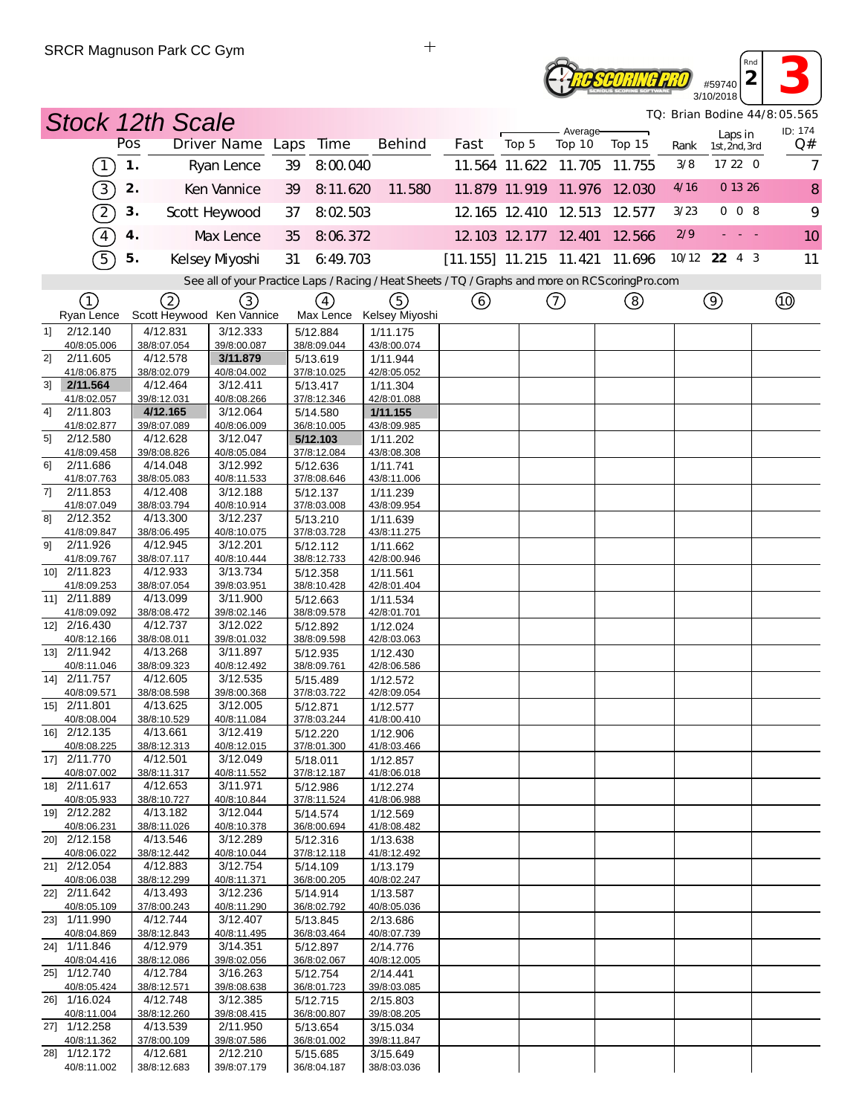## #59740<br>**2**<br>10/2018 **RC SCORING PRO** 3/10/2018

*TQ: Brian Bodine 44/8:05.565*

*Rnd*

| <b>Stock 12th Scale</b>                 |               |                         |                                 |    |                               |                                                                                                   |                          |       |                      |                             |      |                          | TQ: Brian Bodine 44/8:05.565 |
|-----------------------------------------|---------------|-------------------------|---------------------------------|----|-------------------------------|---------------------------------------------------------------------------------------------------|--------------------------|-------|----------------------|-----------------------------|------|--------------------------|------------------------------|
|                                         | Pos           |                         | Driver Name Laps                |    | Time                          | <b>Behind</b>                                                                                     | Fast                     | Top 5 | Average-<br>Top 10   | Top 15                      | Rank | Laps in<br>1st, 2nd, 3rd | ID: 174<br>Q#                |
| $\boxed{1}$                             | $\mathbf 1$ . |                         | Ryan Lence                      | 39 | 8:00.040                      |                                                                                                   |                          |       | 11.564 11.622 11.705 | 11.755                      | 3/8  | 17 22 0                  | 7                            |
| $\overline{3}$                          | 2.            |                         | Ken Vannice                     | 39 | 8:11.620                      | 11.580                                                                                            |                          |       |                      | 11.879 11.919 11.976 12.030 | 4/16 | 0 13 26                  | 8                            |
|                                         |               |                         |                                 |    |                               |                                                                                                   |                          |       |                      |                             | 3/23 | 008                      |                              |
| $\widehat{\mathcal{Z}}$                 | 3.            |                         | Scott Heywood                   | 37 | 8:02 503                      |                                                                                                   |                          |       | 12.165 12.410 12.513 | 12.577                      |      |                          | 9                            |
| $\binom{4}{}$                           | 4.            |                         | Max Lence                       | 35 | 8:06.372                      |                                                                                                   |                          |       | 12.103 12.177 12.401 | 12.566                      | 2/9  | $\sim 10^{-1}$ m $^{-1}$ | 10                           |
| $\mathcal{F}$                           | 5.            |                         | Kelsey Myoshi                   | 31 | 6:49.703                      |                                                                                                   | $[11.155]$ 11.215 11.421 |       |                      | 11.696                      |      | 10/12 22 4 3             | 11                           |
|                                         |               |                         |                                 |    |                               | See all of your Practice Laps / Racing / Heat Sheets / TQ / Graphs and more on RCS coring Pro.com |                          |       |                      |                             |      |                          |                              |
| (1)<br>Ryan Lence                       |               | 2                       | 3)<br>Scott Heywood Ken Vannice |    | $\left(4\right)$<br>Max Lence | (5)<br>Kelsey Miyoshi                                                                             | (6)                      |       | (7)                  | (8)                         |      | $\circled{9}$            |                              |
| 2/12.140<br>11                          |               | 4/12.831                | 3/12.333                        |    | 5/12.884                      | 1/11.175                                                                                          |                          |       |                      |                             |      |                          |                              |
| 40/8:05.006                             |               | 38/8:07.054             | 39/8:00.087                     |    | 38/8:09.044                   | 43/8:00.074                                                                                       |                          |       |                      |                             |      |                          |                              |
| 2/11.605<br>2]<br>41/8:06.875           |               | 4/12.578<br>38/8:02.079 | 3/11.879<br>40/8:04.002         |    | 5/13.619<br>37/8:10.025       | 1/11.944<br>42/8:05.052                                                                           |                          |       |                      |                             |      |                          |                              |
| 2/11.564<br>31                          |               | 4/12.464                | 3/12.411                        |    | 5/13.417                      | 1/11.304                                                                                          |                          |       |                      |                             |      |                          |                              |
| 41/8:02.057<br>2/11.803<br>41           | 39/8:12.031   | 4/12.165                | 40/8:08.266<br>3/12.064         |    | 37/8:12.346<br>5/14.580       | 42/8:01.088<br>1/11.155                                                                           |                          |       |                      |                             |      |                          |                              |
| 41/8:02.877                             |               | 39/8:07.089             | 40/8:06.009                     |    | 36/8:10.005                   | 43/8:09.985                                                                                       |                          |       |                      |                             |      |                          |                              |
| 5]<br>2/12.580                          |               | 4/12.628<br>39/8:08.826 | 3/12.047<br>40/8:05.084         |    | 5/12.103<br>37/8:12.084       | 1/11.202<br>43/8:08.308                                                                           |                          |       |                      |                             |      |                          |                              |
| 41/8:09.458<br>2/11.686<br>61           |               | 4/14.048                | 3/12.992                        |    | 5/12.636                      | 1/11.741                                                                                          |                          |       |                      |                             |      |                          |                              |
| 41/8:07.763                             |               | 38/8:05.083             | 40/8:11.533                     |    | 37/8:08.646                   | 43/8:11.006                                                                                       |                          |       |                      |                             |      |                          |                              |
| 7]<br>2/11.853<br>41/8:07.049           |               | 4/12.408<br>38/8:03.794 | 3/12.188<br>40/8:10.914         |    | 5/12.137<br>37/8:03.008       | 1/11.239<br>43/8:09.954                                                                           |                          |       |                      |                             |      |                          |                              |
| 2/12.352<br>81                          |               | 4/13.300                | 3/12.237                        |    | 5/13.210                      | 1/11.639                                                                                          |                          |       |                      |                             |      |                          |                              |
| 41/8:09.847                             |               | 38/8:06.495             | 40/8:10.075                     |    | 37/8:03.728                   | 43/8:11.275                                                                                       |                          |       |                      |                             |      |                          |                              |
| 2/11.926<br>91<br>41/8:09.767           |               | 4/12.945<br>38/8:07.117 | 3/12.201<br>40/8:10.444         |    | 5/12.112<br>38/8:12.733       | 1/11.662<br>42/8:00.946                                                                           |                          |       |                      |                             |      |                          |                              |
| 10] 2/11.823                            |               | 4/12.933                | 3/13.734                        |    | 5/12.358                      | 1/11.561                                                                                          |                          |       |                      |                             |      |                          |                              |
| 41/8:09.253<br>11] 2/11.889             |               | 38/8:07.054<br>4/13.099 | 39/8:03.951<br>3/11.900         |    | 38/8:10.428                   | 42/8:01.404                                                                                       |                          |       |                      |                             |      |                          |                              |
| 41/8:09.092                             |               | 38/8:08.472             | 39/8:02.146                     |    | 5/12.663<br>38/8:09.578       | 1/11.534<br>42/8:01.701                                                                           |                          |       |                      |                             |      |                          |                              |
| 12] 2/16.430                            |               | 4/12.737                | 3/12.022                        |    | 5/12.892                      | 1/12.024                                                                                          |                          |       |                      |                             |      |                          |                              |
| 40/8:12.166<br>13] 2/11.942             | 38/8:08.011   | 4/13.268                | 39/8:01.032<br>3/11.897         |    | 38/8:09.598<br>5/12.935       | 42/8:03.063<br>1/12.430                                                                           |                          |       |                      |                             |      |                          |                              |
| 40/8:11.046                             |               | 38/8:09.323             | 40/8:12.492                     |    | 38/8:09.761                   | 42/8:06.586                                                                                       |                          |       |                      |                             |      |                          |                              |
| 14] 2/11.757                            |               | 4/12.605                | 3/12.535                        |    | 5/15.489                      | 1/12.572                                                                                          |                          |       |                      |                             |      |                          |                              |
| 40/8:09.571<br>15] 2/11.801             |               | 38/8:08.598<br>4/13.625 | 39/8:00.368<br>3/12.005         |    | 37/8:03.722<br>5/12.871       | 42/8:09.054<br>1/12.577                                                                           |                          |       |                      |                             |      |                          |                              |
| 40/8:08.004                             |               | 38/8:10.529             | 40/8:11.084                     |    | 37/8:03.244                   | 41/8:00.410                                                                                       |                          |       |                      |                             |      |                          |                              |
| 16] 2/12.135<br>40/8:08.225             |               | 4/13.661<br>38/8:12.313 | 3/12.419<br>40/8:12.015         |    | 5/12.220<br>37/8:01.300       | 1/12.906<br>41/8:03.466                                                                           |                          |       |                      |                             |      |                          |                              |
| 17] 2/11.770                            |               | 4/12.501                | 3/12.049                        |    | 5/18.011                      | 1/12.857                                                                                          |                          |       |                      |                             |      |                          |                              |
| 40/8:07.002                             |               | 38/8:11.317             | 40/8:11.552                     |    | 37/8:12.187                   | 41/8:06.018                                                                                       |                          |       |                      |                             |      |                          |                              |
| 18] 2/11.617<br>40/8:05.933             |               | 4/12.653<br>38/8:10.727 | 3/11.971<br>40/8:10.844         |    | 5/12.986<br>37/8:11.524       | 1/12.274<br>41/8:06.988                                                                           |                          |       |                      |                             |      |                          |                              |
| 19] 2/12.282                            |               | 4/13.182                | 3/12.044                        |    | 5/14.574                      | 1/12.569                                                                                          |                          |       |                      |                             |      |                          |                              |
| 40/8:06.231<br>20] 2/12.158             |               | 38/8:11.026<br>4/13.546 | 40/8:10.378<br>3/12.289         |    | 36/8:00.694<br>5/12.316       | 41/8:08.482<br>1/13.638                                                                           |                          |       |                      |                             |      |                          |                              |
| 40/8:06.022                             |               | 38/8:12.442             | 40/8:10.044                     |    | 37/8:12.118                   | 41/8:12.492                                                                                       |                          |       |                      |                             |      |                          |                              |
| 21] 2/12.054                            |               | 4/12.883                | 3/12.754                        |    | 5/14.109                      | 1/13.179                                                                                          |                          |       |                      |                             |      |                          |                              |
| 40/8:06.038<br>22] 2/11.642             |               | 38/8:12.299<br>4/13.493 | 40/8:11.371<br>3/12.236         |    | 36/8:00.205<br>5/14.914       | 40/8:02.247<br>1/13.587                                                                           |                          |       |                      |                             |      |                          |                              |
| 40/8:05.109                             |               | 37/8:00.243             | 40/8:11.290                     |    | 36/8:02.792                   | 40/8:05.036                                                                                       |                          |       |                      |                             |      |                          |                              |
| 23] 1/11.990                            |               | 4/12.744                | 3/12.407                        |    | 5/13.845                      | 2/13.686                                                                                          |                          |       |                      |                             |      |                          |                              |
| 40/8:04.869<br>24] 1/11.846             |               | 38/8:12.843<br>4/12.979 | 40/8:11.495<br>3/14.351         |    | 36/8:03.464<br>5/12.897       | 40/8:07.739<br>2/14.776                                                                           |                          |       |                      |                             |      |                          |                              |
| 40/8:04.416                             |               | 38/8:12.086             | 39/8:02.056                     |    | 36/8:02.067                   | 40/8:12.005                                                                                       |                          |       |                      |                             |      |                          |                              |
| $\overline{25}$ 1/12.740<br>40/8:05.424 | 38/8:12.571   | 4/12.784                | 3/16.263<br>39/8:08.638         |    | 5/12.754<br>36/8:01.723       | 2/14.441<br>39/8:03.085                                                                           |                          |       |                      |                             |      |                          |                              |
| 26] 1/16.024                            |               | 4/12.748                | 3/12.385                        |    | 5/12.715                      | 2/15.803                                                                                          |                          |       |                      |                             |      |                          |                              |
| 40/8:11.004                             |               | 38/8:12.260             | 39/8:08.415                     |    | 36/8:00.807                   | 39/8:08.205                                                                                       |                          |       |                      |                             |      |                          |                              |
| 27] 1/12.258<br>40/8:11.362             |               | 4/13.539<br>37/8:00.109 | 2/11.950<br>39/8:07.586         |    | 5/13.654<br>36/8:01.002       | 3/15.034<br>39/8:11.847                                                                           |                          |       |                      |                             |      |                          |                              |
| 28] 1/12.172                            |               | 4/12.681                | 2/12.210                        |    | 5/15.685                      | 3/15.649                                                                                          |                          |       |                      |                             |      |                          |                              |
| 40/8:11.002                             |               | 38/8:12.683             | 39/8:07.179                     |    | 36/8:04.187                   | 38/8:03.036                                                                                       |                          |       |                      |                             |      |                          |                              |

 $\ddot{+}$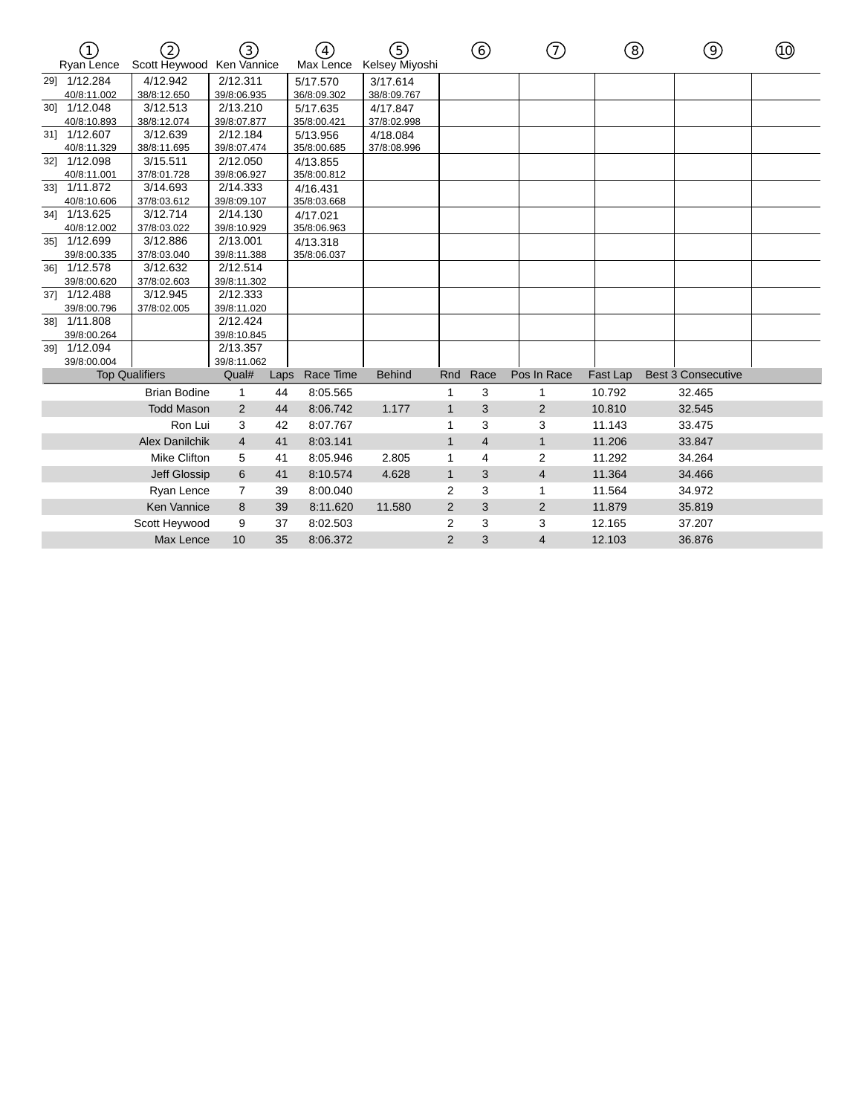|     | Ryan Lence   | $\mathcal{D}$<br>Scott Heywood Ken Vannice | 3)             |      | $\left(4\right)$<br>Max Lence | <u> (5)</u><br>Kelsey Miyoshi |                | ⑥              | ி              | ⑧        | ⊚                         | ൹ |
|-----|--------------|--------------------------------------------|----------------|------|-------------------------------|-------------------------------|----------------|----------------|----------------|----------|---------------------------|---|
|     | 291 1/12.284 | 4/12.942                                   | 2/12.311       |      | 5/17.570                      | 3/17.614                      |                |                |                |          |                           |   |
|     | 40/8:11.002  | 38/8:12.650                                | 39/8:06.935    |      | 36/8:09.302                   | 38/8:09.767                   |                |                |                |          |                           |   |
| 30] | 1/12.048     | 3/12.513                                   | 2/13.210       |      | 5/17.635                      | 4/17.847                      |                |                |                |          |                           |   |
|     | 40/8:10.893  | 38/8:12.074                                | 39/8:07.877    |      | 35/8:00.421                   | 37/8:02.998                   |                |                |                |          |                           |   |
| 31] | 1/12.607     | 3/12.639                                   | 2/12.184       |      | 5/13.956                      | 4/18.084                      |                |                |                |          |                           |   |
|     | 40/8:11.329  | 38/8:11.695                                | 39/8:07.474    |      | 35/8:00.685                   | 37/8:08.996                   |                |                |                |          |                           |   |
| 321 | 1/12.098     | 3/15.511                                   | 2/12.050       |      | 4/13.855                      |                               |                |                |                |          |                           |   |
|     | 40/8:11.001  | 37/8:01.728                                | 39/8:06.927    |      | 35/8:00.812                   |                               |                |                |                |          |                           |   |
| 331 | 1/11.872     | 3/14.693                                   | 2/14.333       |      | 4/16.431                      |                               |                |                |                |          |                           |   |
|     | 40/8:10.606  | 37/8:03.612                                | 39/8:09.107    |      | 35/8:03.668                   |                               |                |                |                |          |                           |   |
|     | 341 1/13.625 | 3/12.714                                   | 2/14.130       |      | 4/17.021                      |                               |                |                |                |          |                           |   |
|     | 40/8:12.002  | 37/8:03.022                                | 39/8:10.929    |      | 35/8:06.963                   |                               |                |                |                |          |                           |   |
|     | 351 1/12.699 | 3/12.886                                   | 2/13.001       |      | 4/13.318                      |                               |                |                |                |          |                           |   |
|     | 39/8:00.335  | 37/8:03.040                                | 39/8:11.388    |      | 35/8:06.037                   |                               |                |                |                |          |                           |   |
| 361 | 1/12.578     | 3/12.632                                   | 2/12.514       |      |                               |                               |                |                |                |          |                           |   |
|     | 39/8:00.620  | 37/8:02.603                                | 39/8:11.302    |      |                               |                               |                |                |                |          |                           |   |
| 37] | 1/12.488     | 3/12.945                                   | 2/12.333       |      |                               |                               |                |                |                |          |                           |   |
|     | 39/8:00.796  | 37/8:02.005                                | 39/8:11.020    |      |                               |                               |                |                |                |          |                           |   |
|     | 38] 1/11.808 |                                            | 2/12.424       |      |                               |                               |                |                |                |          |                           |   |
|     | 39/8:00.264  |                                            | 39/8:10.845    |      |                               |                               |                |                |                |          |                           |   |
|     | 39] 1/12.094 |                                            | 2/13.357       |      |                               |                               |                |                |                |          |                           |   |
|     | 39/8:00.004  |                                            | 39/8:11.062    |      |                               |                               |                |                |                |          |                           |   |
|     |              | <b>Top Qualifiers</b>                      | Qual#          | Laps | Race Time                     | <b>Behind</b>                 | Rnd            | Race           | Pos In Race    | Fast Lap | <b>Best 3 Consecutive</b> |   |
|     |              | <b>Brian Bodine</b>                        | 1              | 44   | 8:05.565                      |                               | 1              | 3              | 1              | 10.792   | 32.465                    |   |
|     |              | <b>Todd Mason</b>                          | 2              | 44   | 8:06.742                      | 1.177                         | $\mathbf{1}$   | 3              | $\overline{2}$ | 10.810   | 32.545                    |   |
|     |              | Ron Lui                                    | 3              | 42   | 8:07.767                      |                               | 1              | 3              | 3              | 11.143   | 33.475                    |   |
|     |              | <b>Alex Danilchik</b>                      | $\overline{4}$ | 41   | 8:03.141                      |                               | $\mathbf{1}$   | $\overline{4}$ | $\mathbf{1}$   | 11.206   | 33.847                    |   |
|     |              | <b>Mike Clifton</b>                        | 5              | 41   | 8:05.946                      | 2.805                         | 1              | $\overline{4}$ | 2              | 11.292   | 34.264                    |   |
|     |              | Jeff Glossip                               | 6              | 41   | 8:10.574                      | 4.628                         | $\mathbf{1}$   | 3              | 4              | 11.364   | 34.466                    |   |
|     |              | Ryan Lence                                 | $\overline{7}$ | 39   | 8:00.040                      |                               | $\overline{2}$ | 3              | 1              | 11.564   | 34.972                    |   |
|     |              | <b>Ken Vannice</b>                         | 8              | 39   | 8:11.620                      | 11.580                        | $\overline{2}$ | 3              | $\overline{c}$ | 11.879   | 35.819                    |   |
|     |              | Scott Heywood                              | 9              | 37   | 8:02.503                      |                               | $\overline{2}$ | 3              | 3              | 12.165   | 37.207                    |   |
|     |              | Max Lence                                  | 10             | 35   | 8:06.372                      |                               | $\overline{2}$ | 3              | $\overline{4}$ | 12.103   | 36.876                    |   |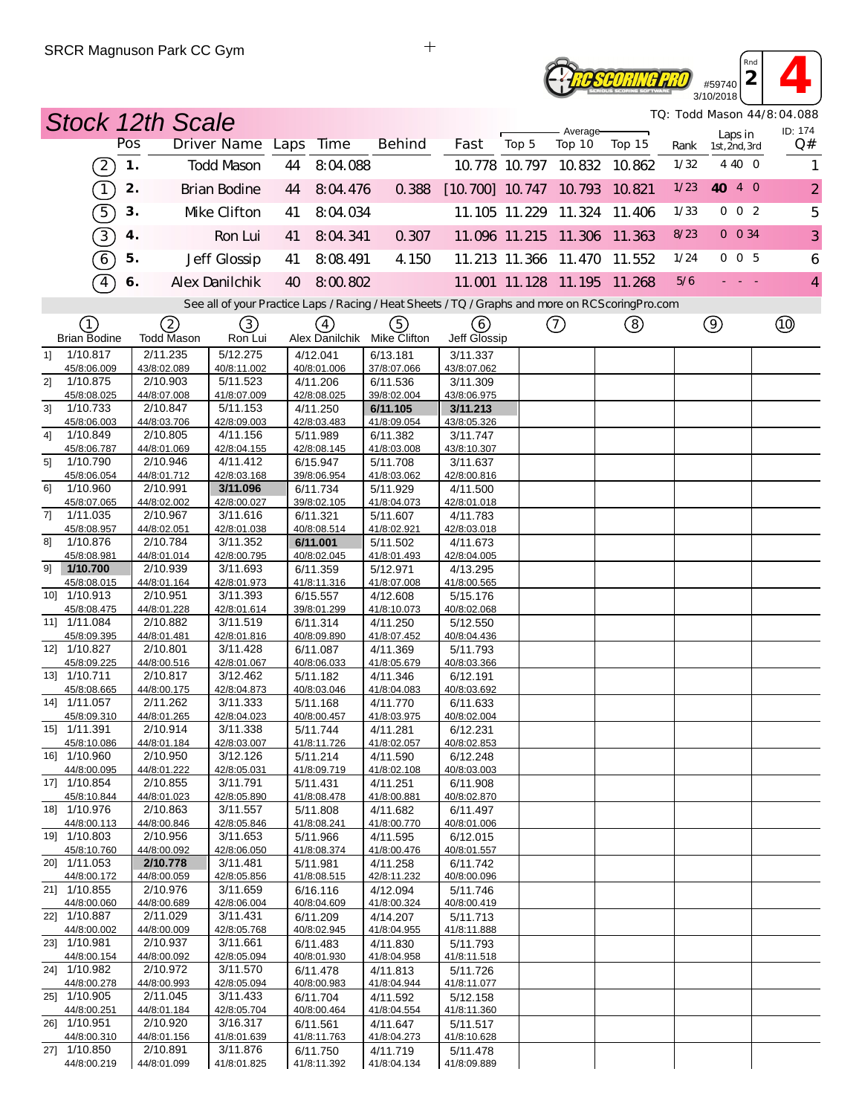## $\frac{459740}{2}$ **ROSCORING PRO** 3/10/2018

*TQ: Todd Mason 44/8:04.088*

*Rnd*

|                                           |               | <b>Stock 12th Scale</b> |                         |    |                         |                         |                                                                                                   |       |                             |        |      | TQ: Todd Mason 44/8:04.088<br>ID: 174 |                |
|-------------------------------------------|---------------|-------------------------|-------------------------|----|-------------------------|-------------------------|---------------------------------------------------------------------------------------------------|-------|-----------------------------|--------|------|---------------------------------------|----------------|
|                                           | Pos           |                         | Driver Name Laps        |    | Time                    | <b>Behind</b>           | Fast                                                                                              | Top 5 | Average-<br>Top 10          | Top 15 | Rank | Laps in<br>1st, 2nd, 3rd              | Q#             |
| $\left( 2\right)$                         | $\mathbf 1$ . |                         | <b>Todd Mason</b>       | 44 | 8:04.088                |                         |                                                                                                   |       | 10.778 10.797 10.832        | 10.862 | 1/32 | 4 40 0                                | 1              |
| $\left( \overline{1}\right)$              | 2.            |                         | <b>Brian Bodine</b>     | 44 | 8:04.476                | 0.388                   | [10.700] 10.747 10.793 10.821                                                                     |       |                             |        | 1/23 | 40 4 0                                | $\overline{2}$ |
| 5                                         | 3.            |                         | Mke Clifton             | 41 | 8:04.034                |                         |                                                                                                   |       | 11.105 11.229 11.324 11.406 |        | 1/33 | $0 \t0 \t2$                           | 5              |
| 3)                                        | 4.            |                         | Ron Lui                 | 41 | 8:04.341                | 0.307                   |                                                                                                   |       | 11.096 11.215 11.306 11.363 |        | 8/23 | $0\ 0\ 34$                            | 3              |
| $\left(6\right)$                          | 5.            |                         | Jeff Glossip            | 41 | 8:08.491                | 4.150                   |                                                                                                   |       | 11.213 11.366 11.470 11.552 |        | 1/24 | 005                                   | 6              |
| $\sqrt{4}$                                | 6.            |                         | Alex Danilchik          | 40 | 8:00.802                |                         |                                                                                                   |       | 11.001 11.128 11.195 11.268 |        | 5/6  |                                       | $\overline{4}$ |
|                                           |               |                         |                         |    |                         |                         | See all of your Practice Laps / Racing / Heat Sheets / TQ / Graphs and more on RCS coring Pro.com |       |                             |        |      |                                       |                |
| (1)                                       |               | 2                       | (3)                     |    | (4)                     | (5)                     | (6)                                                                                               |       | (7)                         | (8)    |      | $\circled{9}$                         |                |
| <b>Brian Bodine</b>                       |               | Todd Mason              | Ron Lui                 |    | Alex Danilchik          | Mike Clifton            | Jeff Glossip                                                                                      |       |                             |        |      |                                       |                |
| 1/10.817<br>11<br>45/8:06.009             |               | 2/11.235<br>43/8:02.089 | 5/12.275<br>40/8:11.002 |    | 4/12.041<br>40/8:01.006 | 6/13.181<br>37/8:07.066 | 3/11.337<br>43/8:07.062                                                                           |       |                             |        |      |                                       |                |
| 1/10.875<br>21                            |               | 2/10.903                | 5/11.523                |    | 4/11.206                | 6/11.536                | 3/11.309                                                                                          |       |                             |        |      |                                       |                |
| 45/8:08.025                               |               | 44/8:07.008             | 41/8:07.009             |    | 42/8:08.025             | 39/8:02.004             | 43/8:06.975                                                                                       |       |                             |        |      |                                       |                |
| 3 <sup>1</sup><br>1/10.733<br>45/8:06.003 |               | 2/10.847<br>44/8:03.706 | 5/11.153<br>42/8:09.003 |    | 4/11.250<br>42/8:03.483 | 6/11.105<br>41/8:09.054 | 3/11.213<br>43/8:05.326                                                                           |       |                             |        |      |                                       |                |
| 1/10.849<br>41                            |               | 2/10.805                | 4/11.156                |    | 5/11.989                | 6/11.382                | 3/11.747                                                                                          |       |                             |        |      |                                       |                |
| 45/8:06.787                               |               | 44/8:01.069             | 42/8:04.155             |    | 42/8:08.145             | 41/8:03.008             | 43/8:10.307                                                                                       |       |                             |        |      |                                       |                |
| 5]<br>1/10.790                            |               | 2/10.946                | 4/11.412                |    | 6/15.947                | 5/11.708                | 3/11.637                                                                                          |       |                             |        |      |                                       |                |
| 45/8:06.054<br>61<br>1/10.960             |               | 44/8:01.712<br>2/10.991 | 42/8:03.168<br>3/11.096 |    | 39/8:06.954<br>6/11.734 | 41/8:03.062<br>5/11.929 | 42/8:00.816<br>4/11.500                                                                           |       |                             |        |      |                                       |                |
| 45/8:07.065                               |               | 44/8:02.002             | 42/8:00.027             |    | 39/8:02.105             | 41/8:04.073             | 42/8:01.018                                                                                       |       |                             |        |      |                                       |                |
| 7]<br>1/11.035                            |               | 2/10.967                | 3/11.616                |    | 6/11.321                | 5/11.607                | 4/11.783                                                                                          |       |                             |        |      |                                       |                |
| 45/8:08.957                               |               | 44/8:02.051             | 42/8:01.038             |    | 40/8:08.514             | 41/8:02.921             | 42/8:03.018                                                                                       |       |                             |        |      |                                       |                |
| 1/10.876<br>81<br>45/8:08.981             |               | 2/10.784<br>44/8:01.014 | 3/11.352<br>42/8:00.795 |    | 6/11.001<br>40/8:02.045 | 5/11.502<br>41/8:01.493 | 4/11.673<br>42/8:04.005                                                                           |       |                             |        |      |                                       |                |
| 1/10.700<br>91                            |               | 2/10.939                | 3/11.693                |    | 6/11.359                | 5/12.971                | 4/13.295                                                                                          |       |                             |        |      |                                       |                |
| 45/8:08.015                               |               | 44/8:01.164             | 42/8:01.973             |    | 41/8:11.316             | 41/8:07.008             | 41/8:00.565                                                                                       |       |                             |        |      |                                       |                |
| 10] 1/10.913                              |               | 2/10.951                | 3/11.393                |    | 6/15.557                | 4/12.608                | 5/15.176                                                                                          |       |                             |        |      |                                       |                |
| 45/8:08.475<br>11] 1/11.084               |               | 44/8:01.228<br>2/10.882 | 42/8:01.614<br>3/11.519 |    | 39/8:01.299<br>6/11.314 | 41/8:10.073             | 40/8:02.068                                                                                       |       |                             |        |      |                                       |                |
| 45/8:09.395                               |               | 44/8:01.481             | 42/8:01.816             |    | 40/8:09.890             | 4/11.250<br>41/8:07.452 | 5/12.550<br>40/8:04.436                                                                           |       |                             |        |      |                                       |                |
| 12] 1/10.827                              |               | 2/10.801                | 3/11.428                |    | 6/11.087                | 4/11.369                | 5/11.793                                                                                          |       |                             |        |      |                                       |                |
| 45/8:09.225                               |               | 44/8:00.516             | 42/8:01.067             |    | 40/8:06.033             | 41/8:05.679             | 40/8:03.366                                                                                       |       |                             |        |      |                                       |                |
| 13] 1/10.711                              |               | 2/10.817                | 3/12.462                |    | 5/11.182                | 4/11.346                | 6/12.191<br>40/8:03.692                                                                           |       |                             |        |      |                                       |                |
| 45/8:08.665<br>14] 1/11.057               |               | 44/8:00.175<br>2/11.262 | 42/8:04.873<br>3/11.333 |    | 40/8:03.046<br>5/11.168 | 41/8:04.083<br>4/11.770 | 6/11.633                                                                                          |       |                             |        |      |                                       |                |
| 45/8:09.310                               |               | 44/8:01.265             | 42/8:04.023             |    | 40/8:00.457             | 41/8:03.975             | 40/8:02.004                                                                                       |       |                             |        |      |                                       |                |
| 15] 1/11.391                              |               | 2/10.914                | 3/11.338                |    | 5/11.744                | 4/11.281                | 6/12.231                                                                                          |       |                             |        |      |                                       |                |
| 45/8:10.086                               |               | 44/8:01.184<br>2/10.950 | 42/8:03.007<br>3/12.126 |    | 41/8:11 726             | 41/8:02.057             | 40/8:02.853                                                                                       |       |                             |        |      |                                       |                |
| 16] 1/10.960<br>44/8:00.095               |               | 44/8:01.222             | 42/8:05.031             |    | 5/11.214<br>41/8:09.719 | 4/11.590<br>41/8:02.108 | 6/12.248<br>40/8:03.003                                                                           |       |                             |        |      |                                       |                |
| 17] 1/10.854                              |               | 2/10.855                | 3/11.791                |    | 5/11.431                | 4/11.251                | 6/11.908                                                                                          |       |                             |        |      |                                       |                |
| 45/8:10.844                               |               | 44/8:01.023             | 42/8:05.890             |    | 41/8:08.478             | 41/8:00.881             | 40/8:02.870                                                                                       |       |                             |        |      |                                       |                |
| 18] 1/10.976<br>44/8:00.113               |               | 2/10.863<br>44/8:00.846 | 3/11.557<br>42/8:05.846 |    | 5/11.808<br>41/8:08.241 | 4/11.682<br>41/8:00.770 | 6/11.497<br>40/8:01.006                                                                           |       |                             |        |      |                                       |                |
| 19] 1/10.803                              |               | 2/10.956                | 3/11.653                |    | 5/11.966                | 4/11.595                | 6/12.015                                                                                          |       |                             |        |      |                                       |                |
| 45/8:10.760                               |               | 44/8:00.092             | 42/8:06.050             |    | 41/8:08.374             | 41/8:00.476             | 40/8:01.557                                                                                       |       |                             |        |      |                                       |                |
| 20] 1/11.053                              |               | 2/10.778                | 3/11.481                |    | 5/11.981                | 4/11.258                | 6/11.742                                                                                          |       |                             |        |      |                                       |                |
| 44/8:00.172<br>21] 1/10.855               |               | 44/8:00.059<br>2/10.976 | 42/8:05.856<br>3/11.659 |    | 41/8:08.515<br>6/16.116 | 42/8:11.232<br>4/12.094 | 40/8:00.096<br>5/11.746                                                                           |       |                             |        |      |                                       |                |
| 44/8:00.060                               |               | 44/8:00.689             | 42/8:06.004             |    | 40/8:04.609             | 41/8:00.324             | 40/8:00.419                                                                                       |       |                             |        |      |                                       |                |
| 22] 1/10.887                              |               | 2/11.029                | 3/11.431                |    | 6/11.209                | 4/14.207                | 5/11.713                                                                                          |       |                             |        |      |                                       |                |
| 44/8:00.002                               |               | 44/8:00.009             | 42/8:05.768             |    | 40/8:02.945             | 41/8:04.955             | 41/8:11.888                                                                                       |       |                             |        |      |                                       |                |
| 23] 1/10.981<br>44/8:00.154               |               | 2/10.937<br>44/8:00.092 | 3/11.661<br>42/8:05.094 |    | 6/11.483<br>40/8:01.930 | 4/11.830<br>41/8:04.958 | 5/11.793<br>41/8:11.518                                                                           |       |                             |        |      |                                       |                |
| 24] 1/10.982                              |               | 2/10.972                | 3/11.570                |    | 6/11.478                | 4/11.813                | 5/11.726                                                                                          |       |                             |        |      |                                       |                |
| 44/8:00.278                               |               | 44/8:00.993             | 42/8:05.094             |    | 40/8:00.983             | 41/8:04.944             | 41/8:11.077                                                                                       |       |                             |        |      |                                       |                |
| 25] 1/10.905                              |               | 2/11.045                | 3/11.433                |    | 6/11.704                | 4/11.592                | 5/12.158                                                                                          |       |                             |        |      |                                       |                |
| 44/8:00.251<br>26] 1/10.951               |               | 44/8:01.184<br>2/10.920 | 42/8:05.704<br>3/16.317 |    | 40/8:00.464<br>6/11.561 | 41/8:04.554<br>4/11.647 | 41/8:11.360<br>5/11.517                                                                           |       |                             |        |      |                                       |                |
| 44/8:00.310                               |               | 44/8:01.156             | 41/8:01.639             |    | 41/8:11.763             | 41/8:04.273             | 41/8:10.628                                                                                       |       |                             |        |      |                                       |                |
| 27] 1/10.850                              |               | 2/10.891                | 3/11.876                |    | 6/11.750                | 4/11.719                | 5/11.478                                                                                          |       |                             |        |      |                                       |                |
| 44/8:00.219                               |               | 44/8:01.099             | 41/8:01.825             |    | 41/8:11.392             | 41/8:04.134             | 41/8:09.889                                                                                       |       |                             |        |      |                                       |                |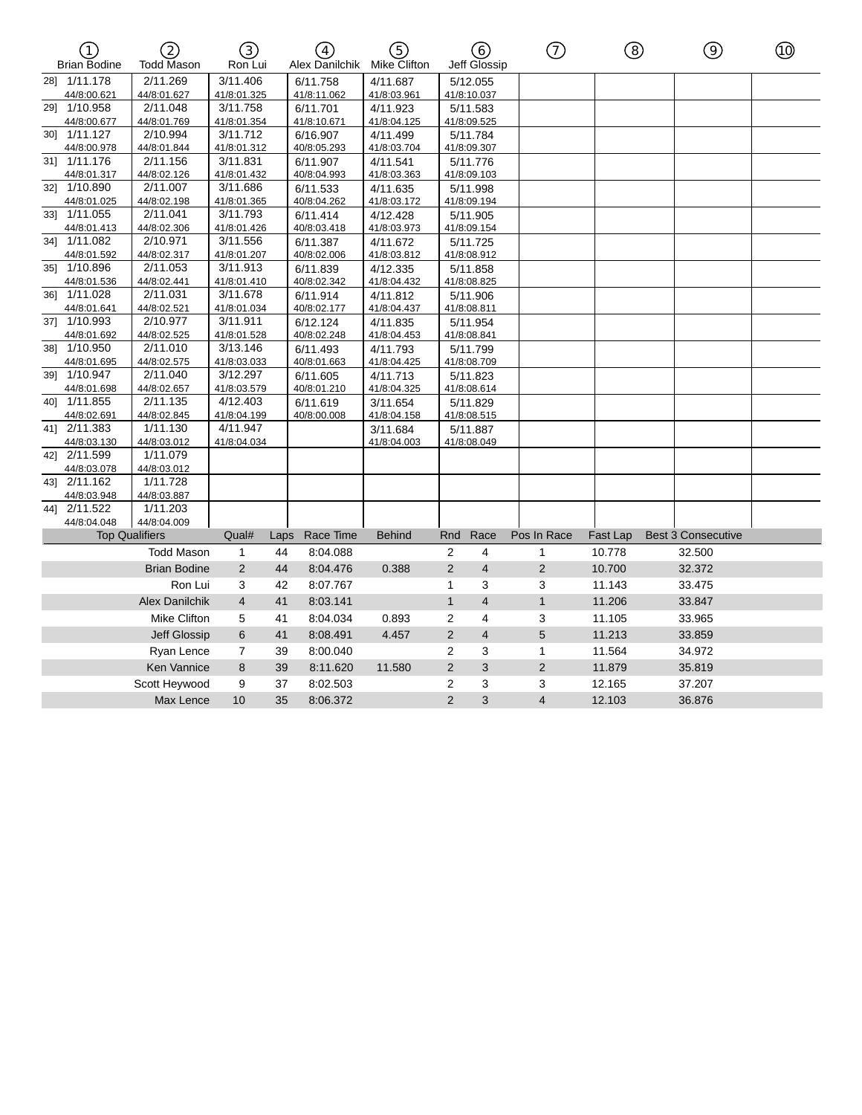| ∩<br><b>Brian Bodine</b>    | ි<br>Todd Mason         | (3)<br>Ron Lui          |      | 4<br>Alex Danilchik     | (5)<br>Mike Clifton     |                | (6)<br>Jeff Glossip     | ⑦              | (8)      | (ඉ                        | ⑩ |
|-----------------------------|-------------------------|-------------------------|------|-------------------------|-------------------------|----------------|-------------------------|----------------|----------|---------------------------|---|
| 28] 1/11.178<br>44/8:00.621 | 2/11.269<br>44/8:01.627 | 3/11.406<br>41/8:01.325 |      | 6/11.758<br>41/8:11.062 | 4/11.687<br>41/8:03.961 |                | 5/12.055<br>41/8:10.037 |                |          |                           |   |
| 29] 1/10.958                | 2/11.048                | 3/11.758                |      | 6/11.701                | 4/11.923                |                | 5/11.583                |                |          |                           |   |
| 44/8:00.677                 | 44/8:01.769             | 41/8:01.354             |      | 41/8:10.671             | 41/8:04.125             |                | 41/8:09.525             |                |          |                           |   |
| 30] 1/11.127                | 2/10.994                | 3/11.712                |      | 6/16.907                | 4/11.499                |                | 5/11.784                |                |          |                           |   |
| 44/8:00.978                 | 44/8:01.844             | 41/8:01.312             |      | 40/8:05.293             | 41/8:03.704             |                | 41/8:09.307             |                |          |                           |   |
| 31] 1/11.176                | 2/11.156                | 3/11.831                |      | 6/11.907                | 4/11.541                |                | 5/11.776                |                |          |                           |   |
| 44/8:01.317                 | 44/8:02.126             | 41/8:01.432             |      | 40/8:04.993             | 41/8:03.363             |                | 41/8:09.103             |                |          |                           |   |
| 32] 1/10.890                | 2/11.007                | 3/11.686                |      | 6/11.533                | 4/11.635                |                | 5/11.998                |                |          |                           |   |
| 44/8:01.025                 | 44/8:02.198             | 41/8:01.365             |      | 40/8:04.262             | 41/8:03.172             |                | 41/8:09.194             |                |          |                           |   |
| 33] 1/11.055                | 2/11.041                | 3/11.793                |      | 6/11.414                | 4/12.428                |                | 5/11.905                |                |          |                           |   |
| 44/8:01.413                 | 44/8:02.306             | 41/8:01.426             |      | 40/8:03.418             | 41/8:03.973             |                | 41/8:09.154             |                |          |                           |   |
| 34] 1/11.082                | 2/10.971                | 3/11.556                |      | 6/11.387                | 4/11.672                |                | 5/11.725                |                |          |                           |   |
| 44/8:01.592                 | 44/8:02.317             | 41/8:01.207             |      | 40/8:02.006             | 41/8:03.812             |                | 41/8:08.912             |                |          |                           |   |
| 35] 1/10.896                | 2/11.053                | 3/11.913                |      | 6/11.839                | 4/12.335                |                | 5/11.858                |                |          |                           |   |
| 44/8:01.536                 | 44/8:02.441             | 41/8:01.410             |      | 40/8:02.342             | 41/8:04.432             |                | 41/8:08.825             |                |          |                           |   |
| 36] 1/11.028                | 2/11.031                | 3/11.678                |      | 6/11.914                | 4/11.812                |                | 5/11.906                |                |          |                           |   |
| 44/8:01.641                 | 44/8:02.521             | 41/8:01.034             |      | 40/8:02.177             | 41/8:04.437             |                | 41/8:08.811             |                |          |                           |   |
| 37] 1/10.993                | 2/10.977                | 3/11.911                |      | 6/12.124                | 4/11.835                |                | 5/11.954                |                |          |                           |   |
| 44/8:01.692                 | 44/8:02.525             | 41/8:01.528             |      | 40/8:02.248             | 41/8:04.453             |                | 41/8:08.841             |                |          |                           |   |
| 38] 1/10.950                | 2/11.010                | 3/13.146                |      | 6/11.493                | 4/11.793                |                | 5/11.799                |                |          |                           |   |
| 44/8:01.695                 | 44/8:02.575             | 41/8:03.033             |      | 40/8:01.663             | 41/8:04.425             |                | 41/8:08.709             |                |          |                           |   |
| 39] 1/10.947                | 2/11.040                | 3/12.297                |      | 6/11.605                | 4/11.713                |                | 5/11.823                |                |          |                           |   |
| 44/8:01.698                 | 44/8:02.657             | 41/8:03.579             |      | 40/8:01.210             | 41/8:04.325             |                | 41/8:08.614             |                |          |                           |   |
| 40] 1/11.855                | 2/11.135                | 4/12.403                |      | 6/11.619                | 3/11.654                |                | 5/11.829                |                |          |                           |   |
| 44/8:02.691                 | 44/8:02.845             | 41/8:04.199             |      | 40/8:00.008             | 41/8:04.158             |                | 41/8:08.515             |                |          |                           |   |
| 41] 2/11.383                | 1/11.130                | 4/11.947                |      |                         | 3/11.684                |                | 5/11.887                |                |          |                           |   |
| 44/8:03.130                 | 44/8:03.012             | 41/8:04.034             |      |                         | 41/8:04.003             |                | 41/8:08.049             |                |          |                           |   |
| 42] 2/11.599                | 1/11.079                |                         |      |                         |                         |                |                         |                |          |                           |   |
| 44/8:03.078                 | 44/8:03.012<br>1/11.728 |                         |      |                         |                         |                |                         |                |          |                           |   |
| 43] 2/11.162                |                         |                         |      |                         |                         |                |                         |                |          |                           |   |
| 44/8:03.948<br>44] 2/11.522 | 44/8:03.887<br>1/11.203 |                         |      |                         |                         |                |                         |                |          |                           |   |
| 44/8:04.048                 | 44/8:04.009             |                         |      |                         |                         |                |                         |                |          |                           |   |
|                             | <b>Top Qualifiers</b>   | Qual#                   | Laps | Race Time               | <b>Behind</b>           | Rnd            | Race                    | Pos In Race    | Fast Lap | <b>Best 3 Consecutive</b> |   |
|                             | <b>Todd Mason</b>       | $\mathbf{1}$            | 44   | 8:04.088                |                         | $\overline{2}$ | $\overline{4}$          | $\mathbf{1}$   | 10.778   | 32.500                    |   |
|                             |                         | 2                       | 44   |                         |                         | 2              | $\overline{4}$          | $\overline{2}$ |          |                           |   |
|                             | <b>Brian Bodine</b>     |                         |      | 8:04.476                | 0.388                   |                |                         |                | 10.700   | 32.372                    |   |
|                             | Ron Lui                 | 3                       | 42   | 8:07.767                |                         | 1              | 3                       | 3              | 11.143   | 33.475                    |   |
|                             | <b>Alex Danilchik</b>   | $\overline{4}$          | 41   | 8:03.141                |                         | $\mathbf{1}$   | $\overline{4}$          | $\mathbf{1}$   | 11.206   | 33.847                    |   |
|                             | Mike Clifton            | 5                       | 41   | 8:04.034                | 0.893                   | 2              | $\overline{4}$          | 3              | 11.105   | 33.965                    |   |
|                             | Jeff Glossip            | 6                       | 41   | 8:08.491                | 4.457                   | 2              | $\overline{4}$          | 5              | 11.213   | 33.859                    |   |
|                             | Ryan Lence              | 7                       | 39   | 8:00.040                |                         | 2              | 3                       | 1              | 11.564   | 34.972                    |   |
|                             |                         |                         |      |                         |                         |                |                         |                |          |                           |   |
|                             | Ken Vannice             | 8                       | 39   | 8:11.620                | 11.580                  | $\overline{2}$ | 3                       | $\overline{c}$ | 11.879   | 35.819                    |   |
|                             | Scott Heywood           | 9                       | 37   | 8:02.503                |                         | 2              | 3                       | 3              | 12.165   | 37.207                    |   |
|                             | Max Lence               | 10                      | 35   | 8:06.372                |                         | $\overline{2}$ | 3                       | $\overline{4}$ | 12.103   | 36.876                    |   |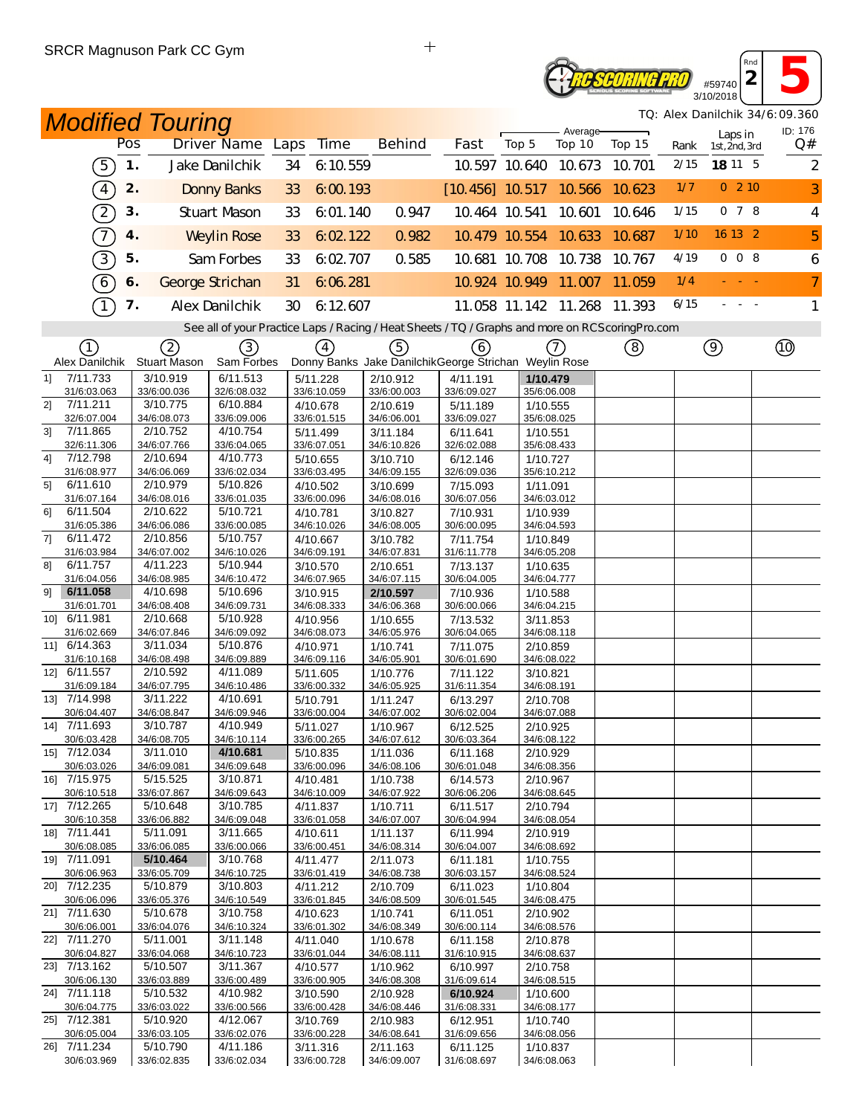# **2 16**<br> **2 16**<br> **16**/2018 *Reseoring Pro*

3/10/2018 *TQ: Alex Danilchik 34/6:09.360*

*Rnd*

|                |                         |     | <b>Modified Touring</b> |                                                                                                   |    |                         |                         |                                                       |       |                             |        |      |                          | TQ: Alex Danilchik 34/6:09.360 |
|----------------|-------------------------|-----|-------------------------|---------------------------------------------------------------------------------------------------|----|-------------------------|-------------------------|-------------------------------------------------------|-------|-----------------------------|--------|------|--------------------------|--------------------------------|
|                |                         | Pos |                         | Driver Name Laps                                                                                  |    | Time                    | <b>Behind</b>           | Fast                                                  | Top 5 | Average-<br>Top 10          | Top 15 | Rank | Laps in<br>1st, 2nd, 3rd | ID: 176<br>Q#                  |
|                | $\left[5\right]$        | 1.  |                         | Jake Danilchik                                                                                    | 34 | 6:10.559                |                         |                                                       |       | 10.597 10.640 10.673        | 10.701 | 2/15 | 18 11 5                  | 2                              |
|                |                         |     |                         |                                                                                                   |    |                         |                         |                                                       |       |                             |        |      |                          |                                |
|                | $\sqrt{4}$              | 2.  |                         | <b>Donny Banks</b>                                                                                | 33 | 6:00.193                |                         |                                                       |       | $[10.456]$ 10.517 10.566    | 10.623 | 1/7  | $0$ 2 10                 | 3                              |
|                | $\boxed{2}$             | 3.  |                         | <b>Stuart Mason</b>                                                                               | 33 | 6.01.140                | 0.947                   | 10.464 10.541                                         |       | 10.601                      | 10.646 | 1/15 | 078                      | 4                              |
|                | $\mathcal{T}$           | 4.  |                         | <b>Weylin Rose</b>                                                                                | 33 | 6:02.122                | 0.982                   |                                                       |       | 10.479 10.554 10.633        | 10.687 | 1/10 | 16 13 2                  | 5                              |
|                | $\boxed{3}$             | 5.  |                         | Sam Forbes                                                                                        | 33 | 6:02.707                | 0.585                   |                                                       |       | 10.681 10.708 10.738        | 10.767 | 4/19 | 008                      | 6                              |
|                | $6\phantom{.0}6$        | 6.  |                         | George Strichan                                                                                   | 31 | 6:06.281                |                         |                                                       |       | 10.924 10.949 11.007        | 11.059 | 1/4  |                          | $\overline{7}$                 |
|                | $\tau$                  | 7.  |                         | Alex Danilchik                                                                                    | 30 | 6:12:607                |                         |                                                       |       | 11.058 11.142 11.268 11.393 |        | 6/15 |                          | $\mathbf{1}$                   |
|                |                         |     |                         | See all of your Practice Laps / Racing / Heat Sheets / TQ / Graphs and more on RCS coring Pro.com |    |                         |                         |                                                       |       |                             |        |      |                          |                                |
|                | (1)                     |     | (2)                     | 3)                                                                                                |    | $\left(4\right)$        | 5)                      | (6)                                                   |       | $\left(7\right)$            | ⑧      |      | $\circledcirc$           |                                |
|                | Alex Danilchik          |     | Stuart Mason            | Sam Forbes                                                                                        |    |                         |                         | Donny Banks Jake DanilchikGeorge Strichan Weylin Rose |       |                             |        |      |                          |                                |
| 1              | 7/11.733                |     | 3/10.919                | 6/11.513                                                                                          |    | 5/11.228                | 2/10.912                | 4/11.191                                              |       | 1/10.479                    |        |      |                          |                                |
| 21             | 31/6:03.063<br>7/11.211 |     | 33/6:00.036<br>3/10.775 | 32/6:08.032<br>6/10.884                                                                           |    | 33/6:10.059<br>4/10.678 | 33/6:00.003<br>2/10.619 | 33/6:09.027<br>5/11.189                               |       | 35/6:06.008<br>1/10.555     |        |      |                          |                                |
|                | 32/6:07.004             |     | 34/6:08.073             | 33/6:09.006                                                                                       |    | 33/6:01.515             | 34/6:06.001             | 33/6:09.027                                           |       | 35/6:08.025                 |        |      |                          |                                |
| 3 <sup>1</sup> | 7/11.865                |     | 2/10.752                | 4/10.754                                                                                          |    | 5/11.499                | 3/11.184                | 6/11.641                                              |       | 1/10.551                    |        |      |                          |                                |
| 4]             | 32/6:11.306<br>7/12.798 |     | 34/6:07.766<br>2/10.694 | 33/6:04.065<br>4/10.773                                                                           |    | 33/6:07.051             | 34/6:10.826             | 32/6:02.088                                           |       | 35/6:08.433                 |        |      |                          |                                |
|                | 31/6:08.977             |     | 34/6:06.069             | 33/6:02.034                                                                                       |    | 5/10.655<br>33/6:03.495 | 3/10.710<br>34/6:09.155 | 6/12.146<br>32/6:09.036                               |       | 1/10.727<br>35/6:10.212     |        |      |                          |                                |
| 51             | 6/11.610                |     | 2/10.979                | 5/10.826                                                                                          |    | 4/10.502                | 3/10.699                | 7/15.093                                              |       | 1/11.091                    |        |      |                          |                                |
|                | 31/6:07.164             |     | 34/6:08.016             | 33/6:01.035                                                                                       |    | 33/6:00.096             | 34/6:08.016             | 30/6:07.056                                           |       | 34/6:03.012                 |        |      |                          |                                |
| 61             | 6/11.504                |     | 2/10.622<br>34/6:06.086 | 5/10.721<br>33/6:00.085                                                                           |    | 4/10.781<br>34/6:10.026 | 3/10.827<br>34/6:08.005 | 7/10.931<br>30/6:00.095                               |       | 1/10.939<br>34/6:04.593     |        |      |                          |                                |
| 71             | 31/6:05.386<br>6/11.472 |     | 2/10.856                | 5/10.757                                                                                          |    | 4/10.667                | 3/10.782                | 7/11.754                                              |       | 1/10.849                    |        |      |                          |                                |
|                | 31/6:03.984             |     | 34/6:07.002             | 34/6:10.026                                                                                       |    | 34/6:09.191             | 34/6:07.831             | 31/6:11.778                                           |       | 34/6:05.208                 |        |      |                          |                                |
| 81             | 6/11.757                |     | 4/11.223                | 5/10.944                                                                                          |    | 3/10.570                | 2/10.651                | 7/13.137                                              |       | 1/10.635                    |        |      |                          |                                |
|                | 31/6:04.056             |     | 34/6:08.985             | 34/6:10.472                                                                                       |    | 34/6:07.965             | 34/6:07.115             | 30/6:04.005                                           |       | 34/6:04.777                 |        |      |                          |                                |
| 91             | 6/11.058<br>31/6:01.701 |     | 4/10.698<br>34/6:08.408 | 5/10.696<br>34/6:09.731                                                                           |    | 3/10.915<br>34/6:08.333 | 2/10.597<br>34/6:06.368 | 7/10.936<br>30/6:00.066                               |       | 1/10.588<br>34/6:04.215     |        |      |                          |                                |
| 10] 6/11.981   |                         |     | 2/10.668                | 5/10.928                                                                                          |    | 4/10.956                | 1/10.655                | 7/13.532                                              |       | 3/11.853                    |        |      |                          |                                |
|                | 31/6:02.669             |     | 34/6:07.846             | 34/6:09.092                                                                                       |    | 34/6:08.073             | 34/6:05.976             | 30/6:04.065                                           |       | 34/6:08.118                 |        |      |                          |                                |
| 11] 6/14.363   |                         |     | 3/11.034                | 5/10.876                                                                                          |    | 4/10.971                | 1/10.741                | 7/11.075                                              |       | 2/10.859                    |        |      |                          |                                |
| 12] 6/11.557   | 31/6:10.168             |     | 34/6:08.498<br>2/10.592 | 34/6:09.889<br>4/11.089                                                                           |    | 34/6:09.116             | 34/6:05.901             | 30/6:01.690                                           |       | 34/6:08.022                 |        |      |                          |                                |
|                | 31/6:09.184             |     | 34/6:07.795             | 34/6:10.486                                                                                       |    | 5/11.605<br>33/6:00.332 | 1/10.776<br>34/6:05.925 | 7/11.122<br>31/6:11.354                               |       | 3/10.821<br>34/6:08.191     |        |      |                          |                                |
| 13] 7/14.998   |                         |     | 3/11.222                | 4/10.691                                                                                          |    | 5/10.791                | 1/11.247                | 6/13.297                                              |       | 2/10.708                    |        |      |                          |                                |
|                | 30/6:04.407             |     | 34/6:08.847             | 34/6:09.946                                                                                       |    | 33/6:00.004             | 34/6:07.002             | 30/6:02.004                                           |       | 34/6:07.088                 |        |      |                          |                                |
| 14] 7/11.693   |                         |     | 3/10.787                | 4/10.949                                                                                          |    | 5/11.027                | 1/10.967                | 6/12.525                                              |       | 2/10.925                    |        |      |                          |                                |
| 15] 7/12.034   | 30/6:03.428             |     | 34/6:08.705<br>3/11.010 | 34/6:10.114<br>4/10.681                                                                           |    | 33/6:00.265<br>5/10.835 | 34/6:07.612<br>1/11.036 | 30/6:03.364<br>6/11.168                               |       | 34/6:08.122<br>2/10.929     |        |      |                          |                                |
|                | 30/6:03.026             |     | 34/6:09.081             | 34/6:09.648                                                                                       |    | 33/6:00.096             | 34/6:08.106             | 30/6:01.048                                           |       | 34/6:08.356                 |        |      |                          |                                |
| 16] 7/15.975   |                         |     | 5/15.525                | 3/10.871                                                                                          |    | 4/10.481                | 1/10.738                | 6/14.573                                              |       | 2/10.967                    |        |      |                          |                                |
|                | 30/6:10.518             |     | 33/6:07.867             | 34/6:09.643                                                                                       |    | 34/6:10.009             | 34/6:07.922             | 30/6:06.206                                           |       | 34/6:08.645                 |        |      |                          |                                |
| 17] 7/12.265   | 30/6:10.358             |     | 5/10.648<br>33/6:06.882 | 3/10.785<br>34/6:09.048                                                                           |    | 4/11.837<br>33/6:01.058 | 1/10.711<br>34/6:07.007 | 6/11.517<br>30/6:04.994                               |       | 2/10.794<br>34/6:08.054     |        |      |                          |                                |
| 18] 7/11.441   |                         |     | 5/11.091                | 3/11.665                                                                                          |    | 4/10.611                | 1/11.137                | 6/11.994                                              |       | 2/10.919                    |        |      |                          |                                |
|                | 30/6:08.085             |     | 33/6:06.085             | 33/6:00.066                                                                                       |    | 33/6:00.451             | 34/6:08.314             | 30/6:04.007                                           |       | 34/6:08.692                 |        |      |                          |                                |
| 19] 7/11.091   |                         |     | 5/10.464                | 3/10.768                                                                                          |    | 4/11.477                | 2/11.073                | 6/11.181                                              |       | 1/10.755                    |        |      |                          |                                |
| 20] 7/12.235   | 30/6:06.963             |     | 33/6:05.709<br>5/10.879 | 34/6:10.725<br>3/10.803                                                                           |    | 33/6:01.419<br>4/11.212 | 34/6:08.738<br>2/10.709 | 30/6:03.157<br>6/11.023                               |       | 34/6:08.524                 |        |      |                          |                                |
|                | 30/6:06.096             |     | 33/6:05.376             | 34/6:10.549                                                                                       |    | 33/6:01.845             | 34/6:08.509             | 30/6:01.545                                           |       | 1/10.804<br>34/6:08.475     |        |      |                          |                                |
| 21] 7/11.630   |                         |     | 5/10.678                | 3/10.758                                                                                          |    | 4/10.623                | 1/10.741                | 6/11.051                                              |       | 2/10.902                    |        |      |                          |                                |
|                | 30/6:06.001             |     | 33/6:04.076             | 34/6:10.324                                                                                       |    | 33/6:01.302             | 34/6:08.349             | 30/6:00.114                                           |       | 34/6:08.576                 |        |      |                          |                                |
| 22] 7/11.270   |                         |     | 5/11.001                | 3/11.148                                                                                          |    | 4/11.040                | 1/10.678                | 6/11.158                                              |       | 2/10.878                    |        |      |                          |                                |
| 23] 7/13.162   | 30/6:04.827             |     | 33/6:04.068<br>5/10.507 | 34/6:10.723<br>3/11.367                                                                           |    | 33/6:01.044<br>4/10.577 | 34/6:08.111<br>1/10.962 | 31/6:10.915<br>6/10.997                               |       | 34/6:08.637<br>2/10.758     |        |      |                          |                                |
|                | 30/6:06.130             |     | 33/6:03.889             | 33/6:00.489                                                                                       |    | 33/6:00.905             | 34/6:08.308             | 31/6:09.614                                           |       | 34/6:08.515                 |        |      |                          |                                |
| 24] 7/11.118   |                         |     | 5/10.532                | 4/10.982                                                                                          |    | 3/10.590                | 2/10.928                | 6/10.924                                              |       | 1/10.600                    |        |      |                          |                                |
|                | 30/6:04.775             |     | 33/6:03.022             | 33/6:00.566                                                                                       |    | 33/6:00.428             | 34/6:08.446             | 31/6:08.331                                           |       | 34/6:08.177                 |        |      |                          |                                |
| 25] 7/12.381   | 30/6:05.004             |     | 5/10.920<br>33/6:03.105 | 4/12.067<br>33/6:02.076                                                                           |    | 3/10.769<br>33/6:00.228 | 2/10.983<br>34/6:08.641 | 6/12.951<br>31/6:09.656                               |       | 1/10.740<br>34/6:08.056     |        |      |                          |                                |
| 26] 7/11.234   |                         |     | 5/10.790                | 4/11.186                                                                                          |    | 3/11.316                | 2/11.163                | 6/11.125                                              |       | 1/10.837                    |        |      |                          |                                |
|                | 30/6:03.969             |     | 33/6:02.835             | 33/6:02.034                                                                                       |    | 33/6:00.728             | 34/6:09.007             | 31/6:08.697                                           |       | 34/6:08.063                 |        |      |                          |                                |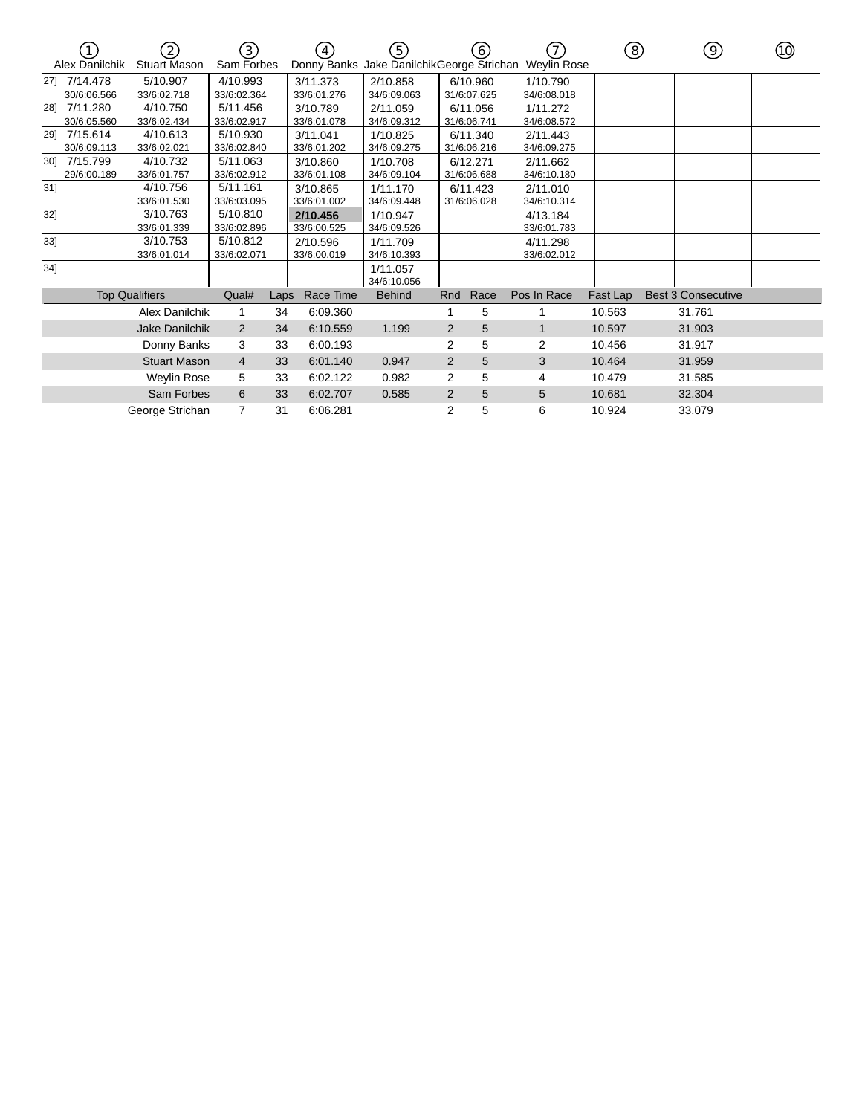|        | $\left(1\right)$<br>Alex Danilchik | 2<br><b>Stuart Mason</b> | (3)<br>Sam Forbes       |      | (4)                     | (5)                     |                | (6)                     | Donny Banks Jake DanilchikGeorge Strichan Weylin Rose | ⑧        | 9)                        | (10) |
|--------|------------------------------------|--------------------------|-------------------------|------|-------------------------|-------------------------|----------------|-------------------------|-------------------------------------------------------|----------|---------------------------|------|
|        | 27] 7/14.478<br>30/6:06.566        | 5/10.907<br>33/6:02.718  | 4/10.993<br>33/6:02.364 |      | 3/11.373<br>33/6:01.276 | 2/10.858<br>34/6:09.063 |                | 6/10.960<br>31/6:07.625 | 1/10.790<br>34/6:08.018                               |          |                           |      |
|        | 28] 7/11.280<br>30/6:05.560        | 4/10.750<br>33/6:02.434  | 5/11.456<br>33/6:02.917 |      | 3/10.789<br>33/6:01.078 | 2/11.059<br>34/6:09.312 |                | 6/11.056<br>31/6:06.741 | 1/11.272<br>34/6:08.572                               |          |                           |      |
|        | 29] 7/15.614<br>30/6:09.113        | 4/10.613<br>33/6:02.021  | 5/10.930<br>33/6:02.840 |      | 3/11.041<br>33/6:01.202 | 1/10.825<br>34/6:09.275 |                | 6/11.340<br>31/6:06.216 | 2/11.443<br>34/6:09.275                               |          |                           |      |
|        | 30] 7/15.799<br>29/6:00.189        | 4/10.732<br>33/6:01.757  | 5/11.063<br>33/6:02.912 |      | 3/10.860<br>33/6:01.108 | 1/10.708<br>34/6:09.104 |                | 6/12.271<br>31/6:06.688 | 2/11.662<br>34/6:10.180                               |          |                           |      |
| 31]    |                                    | 4/10.756<br>33/6:01.530  | 5/11.161<br>33/6:03.095 |      | 3/10.865<br>33/6:01.002 | 1/11.170<br>34/6:09.448 |                | 6/11.423<br>31/6:06.028 | 2/11.010<br>34/6:10.314                               |          |                           |      |
| 32]    |                                    | 3/10.763<br>33/6:01.339  | 5/10.810<br>33/6:02.896 |      | 2/10.456<br>33/6:00.525 | 1/10.947<br>34/6:09.526 |                |                         | 4/13.184<br>33/6:01.783                               |          |                           |      |
| 33]    |                                    | 3/10.753<br>33/6:01.014  | 5/10.812<br>33/6:02.071 |      | 2/10.596<br>33/6:00.019 | 1/11.709<br>34/6:10.393 |                |                         | 4/11.298<br>33/6:02.012                               |          |                           |      |
| $34$ ] |                                    |                          |                         |      |                         | 1/11.057<br>34/6:10.056 |                |                         |                                                       |          |                           |      |
|        |                                    | <b>Top Qualifiers</b>    | Qual#                   | Laps | Race Time               | <b>Behind</b>           | Rnd            | Race                    | Pos In Race                                           | Fast Lap | <b>Best 3 Consecutive</b> |      |
|        |                                    | Alex Danilchik           |                         | 34   | 6:09.360                |                         |                | 5                       |                                                       | 10.563   | 31.761                    |      |
|        |                                    | Jake Danilchik           | $\overline{2}$          | 34   | 6:10.559                | 1.199                   | $\overline{2}$ | 5                       |                                                       | 10.597   | 31.903                    |      |
|        |                                    | Donny Banks              | 3                       | 33   | 6:00.193                |                         | $\overline{2}$ | 5                       | 2                                                     | 10.456   | 31.917                    |      |
|        |                                    | <b>Stuart Mason</b>      | $\overline{4}$          | 33   | 6:01.140                | 0.947                   | $\overline{2}$ | 5                       | 3                                                     | 10.464   | 31.959                    |      |
|        |                                    | Weylin Rose              | 5                       | 33   | 6:02.122                | 0.982                   | 2              | 5                       | 4                                                     | 10.479   | 31.585                    |      |
|        |                                    | Sam Forbes               | 6                       | 33   | 6:02.707                | 0.585                   | $\overline{2}$ | 5                       | 5                                                     | 10.681   | 32.304                    |      |
|        |                                    | George Strichan          | $\overline{7}$          | 31   | 6:06.281                |                         | 2              | 5                       | 6                                                     | 10.924   | 33.079                    |      |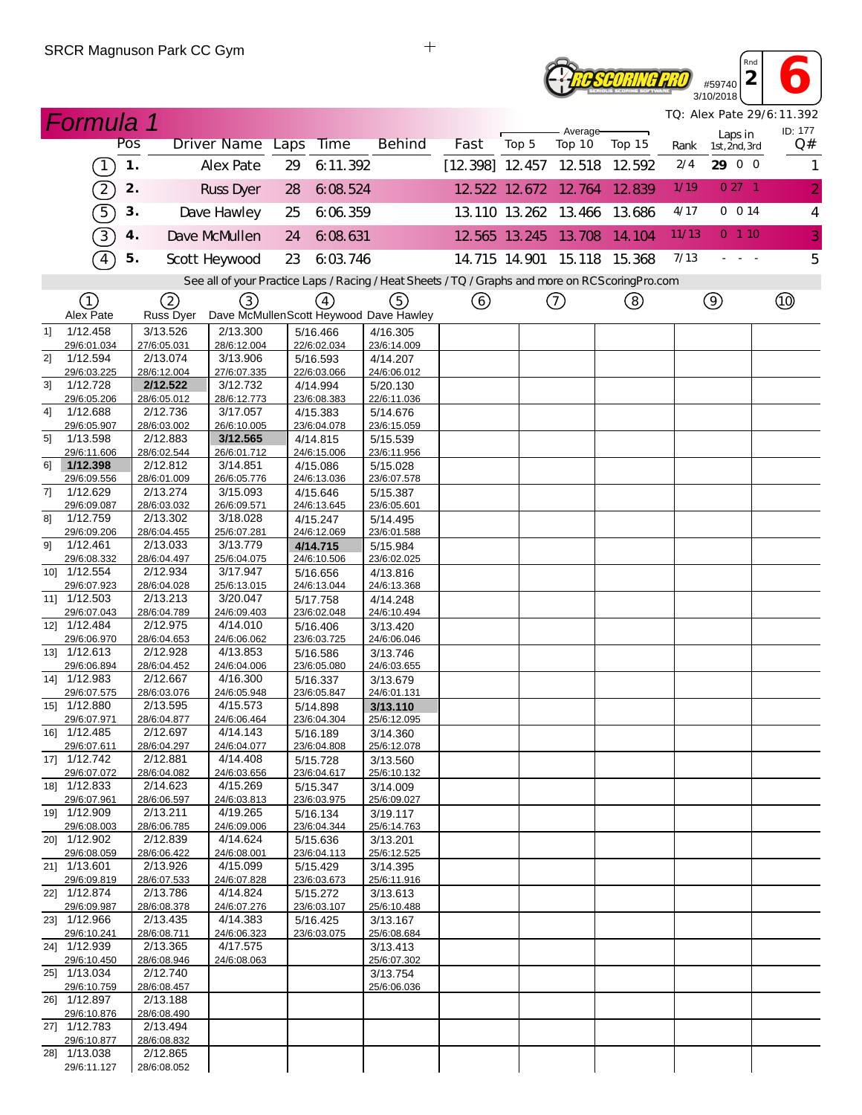

3/10/2018 *TQ: Alex Pate 29/6:11.392*

*Rnd*

|        | <b>Formula 1</b>                                          |               |                         |                         |      |                         |                                                                                                   |                          |                      |                    |                             |       |                          | TQ: Alex Pate 29/6:11.392 |
|--------|-----------------------------------------------------------|---------------|-------------------------|-------------------------|------|-------------------------|---------------------------------------------------------------------------------------------------|--------------------------|----------------------|--------------------|-----------------------------|-------|--------------------------|---------------------------|
|        |                                                           | Pos           |                         | <b>Driver Name</b>      | Laps | <b>Time</b>             | <b>Behind</b>                                                                                     | Fast                     | Top 5                | Average-<br>Top 10 | Top 15                      | Rank  | Laps in<br>1st, 2nd, 3rd | ID: 177<br>Q#             |
|        | $\left(1\right)$                                          | $\mathbf 1$ . |                         | Alex Pate               | 29   | 6:11.392                |                                                                                                   | $[12.398]$ 12.457 12.518 |                      |                    | 12.592                      | 2/4   | 29 0 0                   | 1                         |
|        | $\mathcal{D}% _{M_{1},M_{2}}^{\alpha,\beta}(\varepsilon)$ | 2.            |                         | <b>Russ Dyer</b>        | 28   | 6:08.524                |                                                                                                   |                          | 12 522 12 672 12 764 |                    | 12.839                      | 1/19  | $027 - 1$                | $\overline{2}$            |
|        | $\boxed{5}$                                               | 3.            |                         | Dave Hawley             | 25   | 6.06.359                |                                                                                                   |                          | 13.110 13.262 13.466 |                    | 13.686                      | 4/17  | 0 0 14                   | $\overline{4}$            |
|        | 3)                                                        | 4.            |                         | Dave McMullen           | 24   | 6:08.631                |                                                                                                   |                          | 12 565 13 245 13 708 |                    | 14.104                      | 11/13 | 0, 1, 10                 | 3                         |
|        | $\boxed{4}$                                               | 5.            |                         | Scott Heywood           | 23   | 6:03.746                |                                                                                                   |                          |                      |                    | 14.715 14.901 15.118 15.368 | 7/13  |                          | 5                         |
|        |                                                           |               |                         |                         |      |                         | See all of your Practice Laps / Racing / Heat Sheets / TQ / Graphs and more on RCS coring Pro.com |                          |                      |                    |                             |       |                          |                           |
|        | ①                                                         |               |                         |                         |      |                         |                                                                                                   |                          |                      |                    |                             |       |                          |                           |
|        | Alex Pate                                                 |               | (2)<br><b>Russ Dyer</b> | (3)                     |      | $\left(4\right)$        | (5)<br>Dave McMullenScott Heywood Dave Hawley                                                     | ⊙                        |                      | ⊙                  | (8)                         |       | $\circledcirc$           | $^{\circledR}$            |
| 11     | 1/12.458                                                  |               | 3/13.526                | 2/13.300                |      | 5/16.466                | 4/16.305                                                                                          |                          |                      |                    |                             |       |                          |                           |
| 21     | 29/6:01.034<br>1/12.594                                   |               | 27/6:05.031<br>2/13.074 | 28/6:12.004<br>3/13.906 |      | 22/6:02.034<br>5/16.593 | 23/6:14.009<br>4/14.207                                                                           |                          |                      |                    |                             |       |                          |                           |
|        | 29/6:03.225                                               |               | 28/6:12.004             | 27/6:07.335             |      | 22/6:03.066             | 24/6:06.012                                                                                       |                          |                      |                    |                             |       |                          |                           |
| 31     | 1/12.728                                                  |               | 2/12.522                | 3/12.732                |      | 4/14.994                | 5/20.130                                                                                          |                          |                      |                    |                             |       |                          |                           |
| 4]     | 29/6:05.206<br>1/12.688                                   |               | 28/6:05.012<br>2/12.736 | 28/6:12.773<br>3/17.057 |      | 23/6:08.383<br>4/15.383 | 22/6:11.036                                                                                       |                          |                      |                    |                             |       |                          |                           |
|        | 29/6:05.907                                               |               | 28/6:03.002             | 26/6:10.005             |      | 23/6:04.078             | 5/14.676<br>23/6:15.059                                                                           |                          |                      |                    |                             |       |                          |                           |
| 51     | 1/13.598                                                  |               | 2/12.883                | 3/12.565                |      | 4/14.815                | 5/15.539                                                                                          |                          |                      |                    |                             |       |                          |                           |
|        | 29/6:11.606                                               |               | 28/6:02.544             | 26/6:01.712             |      | 24/6:15.006             | 23/6:11.956                                                                                       |                          |                      |                    |                             |       |                          |                           |
| 61     | 1/12.398                                                  |               | 2/12.812                | 3/14.851                |      | 4/15.086                | 5/15.028                                                                                          |                          |                      |                    |                             |       |                          |                           |
| 7]     | 29/6:09.556<br>1/12.629                                   |               | 28/6:01.009<br>2/13.274 | 26/6:05.776<br>3/15.093 |      | 24/6:13.036<br>4/15.646 | 23/6:07.578<br>5/15.387                                                                           |                          |                      |                    |                             |       |                          |                           |
|        | 29/6:09.087                                               |               | 28/6:03.032             | 26/6:09.571             |      | 24/6:13.645             | 23/6:05.601                                                                                       |                          |                      |                    |                             |       |                          |                           |
| 81     | 1/12.759                                                  |               | 2/13.302                | 3/18.028                |      | 4/15.247                | 5/14.495                                                                                          |                          |                      |                    |                             |       |                          |                           |
|        | 29/6:09.206                                               |               | 28/6:04.455             | 25/6:07.281             |      | 24/6:12.069             | 23/6:01.588                                                                                       |                          |                      |                    |                             |       |                          |                           |
| 91     | 1/12.461                                                  |               | 2/13.033                | 3/13.779                |      | 4/14.715                | 5/15.984                                                                                          |                          |                      |                    |                             |       |                          |                           |
|        | 29/6:08.332<br>10] 1/12.554                               |               | 28/6:04.497<br>2/12.934 | 25/6:04.075<br>3/17.947 |      | 24/6:10.506<br>5/16.656 | 23/6:02.025<br>4/13.816                                                                           |                          |                      |                    |                             |       |                          |                           |
|        | 29/6:07.923                                               |               | 28/6:04.028             | 25/6:13.015             |      | 24/6:13.044             | 24/6:13.368                                                                                       |                          |                      |                    |                             |       |                          |                           |
| $11$ ] | 1/12.503                                                  |               | 2/13.213                | 3/20.047                |      | 5/17.758                | 4/14.248                                                                                          |                          |                      |                    |                             |       |                          |                           |
|        | 29/6:07.043                                               |               | 28/6:04.789             | 24/6:09.403             |      | 23/6:02.048             | 24/6:10.494                                                                                       |                          |                      |                    |                             |       |                          |                           |
|        | 12] 1/12.484<br>29/6:06.970                               |               | 2/12.975<br>28/6:04.653 | 4/14.010<br>24/6:06.062 |      | 5/16.406<br>23/6:03.725 | 3/13.420<br>24/6:06.046                                                                           |                          |                      |                    |                             |       |                          |                           |
|        | 13] 1/12.613                                              |               | 2/12.928                | 4/13.853                |      | 5/16.586                | 3/13.746                                                                                          |                          |                      |                    |                             |       |                          |                           |
|        | 29/6:06.894                                               |               | 28/6:04.452             | 24/6:04.006             |      | 23/6:05.080             | 24/6:03.655                                                                                       |                          |                      |                    |                             |       |                          |                           |
|        | 14] 1/12.983                                              |               | 2/12.667                | 4/16.300                |      | 5/16.337                | 3/13.679                                                                                          |                          |                      |                    |                             |       |                          |                           |
|        | 29/6:07.575                                               |               | 28/6:03.076             | 24/6:05.948             |      | 23/6:05.847             | 24/6:01.131                                                                                       |                          |                      |                    |                             |       |                          |                           |
|        | 15] 1/12.880<br>29/6:07.971                               |               | 2/13.595<br>28/6:04.877 | 4/15.573<br>24/6:06.464 |      | 5/14.898<br>23/6:04.304 | 3/13.110<br>25/6:12.095                                                                           |                          |                      |                    |                             |       |                          |                           |
|        | 16] 1/12.485                                              |               | 2/12.697                | 4/14.143                |      | 5/16.189                | 3/14.360                                                                                          |                          |                      |                    |                             |       |                          |                           |
|        | 29/6:07.611                                               |               | 28/6:04.297             | 24/6:04.077             |      | 23/6:04.808             | 25/6:12.078                                                                                       |                          |                      |                    |                             |       |                          |                           |
|        | 17] 1/12.742                                              |               | 2/12.881                | 4/14.408                |      | 5/15.728                | 3/13.560                                                                                          |                          |                      |                    |                             |       |                          |                           |
|        | 29/6:07.072<br>18] 1/12.833                               |               | 28/6:04.082<br>2/14.623 | 24/6:03.656<br>4/15.269 |      | 23/6:04.617<br>5/15.347 | 25/6:10.132<br>3/14.009                                                                           |                          |                      |                    |                             |       |                          |                           |
|        | 29/6:07.961                                               |               | 28/6:06.597             | 24/6:03.813             |      | 23/6:03.975             | 25/6:09.027                                                                                       |                          |                      |                    |                             |       |                          |                           |
|        | 19] 1/12.909                                              |               | 2/13.211                | 4/19.265                |      | 5/16.134                | 3/19.117                                                                                          |                          |                      |                    |                             |       |                          |                           |
|        | 29/6:08.003                                               |               | 28/6:06.785             | 24/6:09.006             |      | 23/6:04.344             | 25/6:14.763                                                                                       |                          |                      |                    |                             |       |                          |                           |
|        | 20] 1/12.902<br>29/6:08.059                               |               | 2/12.839<br>28/6:06.422 | 4/14.624<br>24/6:08.001 |      | 5/15.636<br>23/6:04.113 | 3/13.201<br>25/6:12.525                                                                           |                          |                      |                    |                             |       |                          |                           |
|        | 21] 1/13.601                                              |               | 2/13.926                | 4/15.099                |      | 5/15.429                | 3/14.395                                                                                          |                          |                      |                    |                             |       |                          |                           |
|        | 29/6:09.819                                               |               | 28/6:07.533             | 24/6:07.828             |      | 23/6:03.673             | 25/6:11.916                                                                                       |                          |                      |                    |                             |       |                          |                           |
|        | 22] 1/12.874                                              |               | 2/13.786                | 4/14.824                |      | 5/15.272                | 3/13.613                                                                                          |                          |                      |                    |                             |       |                          |                           |
|        | 29/6:09.987<br>23] 1/12.966                               |               | 28/6:08.378             | 24/6:07.276             |      | 23/6:03.107             | 25/6:10.488                                                                                       |                          |                      |                    |                             |       |                          |                           |
|        | 29/6:10.241                                               |               | 2/13.435<br>28/6:08.711 | 4/14.383<br>24/6:06.323 |      | 5/16.425<br>23/6:03.075 | 3/13.167<br>25/6:08.684                                                                           |                          |                      |                    |                             |       |                          |                           |
|        | 24] 1/12.939                                              |               | 2/13.365                | 4/17.575                |      |                         | 3/13.413                                                                                          |                          |                      |                    |                             |       |                          |                           |
|        | 29/6:10.450                                               |               | 28/6:08.946             | 24/6:08.063             |      |                         | 25/6:07.302                                                                                       |                          |                      |                    |                             |       |                          |                           |
|        | 25] 1/13.034                                              |               | 2/12.740                |                         |      |                         | 3/13.754                                                                                          |                          |                      |                    |                             |       |                          |                           |
|        | 29/6:10.759<br>26] 1/12.897                               |               | 28/6:08.457<br>2/13.188 |                         |      |                         | 25/6:06.036                                                                                       |                          |                      |                    |                             |       |                          |                           |
|        | 29/6:10.876                                               |               | 28/6:08.490             |                         |      |                         |                                                                                                   |                          |                      |                    |                             |       |                          |                           |
|        | 27] 1/12.783                                              |               | 2/13.494                |                         |      |                         |                                                                                                   |                          |                      |                    |                             |       |                          |                           |
|        | 29/6:10.877                                               |               | 28/6:08.832             |                         |      |                         |                                                                                                   |                          |                      |                    |                             |       |                          |                           |
|        | 28] 1/13.038                                              |               | 2/12.865                |                         |      |                         |                                                                                                   |                          |                      |                    |                             |       |                          |                           |
|        | 29/6:11.127                                               |               | 28/6:08.052             |                         |      |                         |                                                                                                   |                          |                      |                    |                             |       |                          |                           |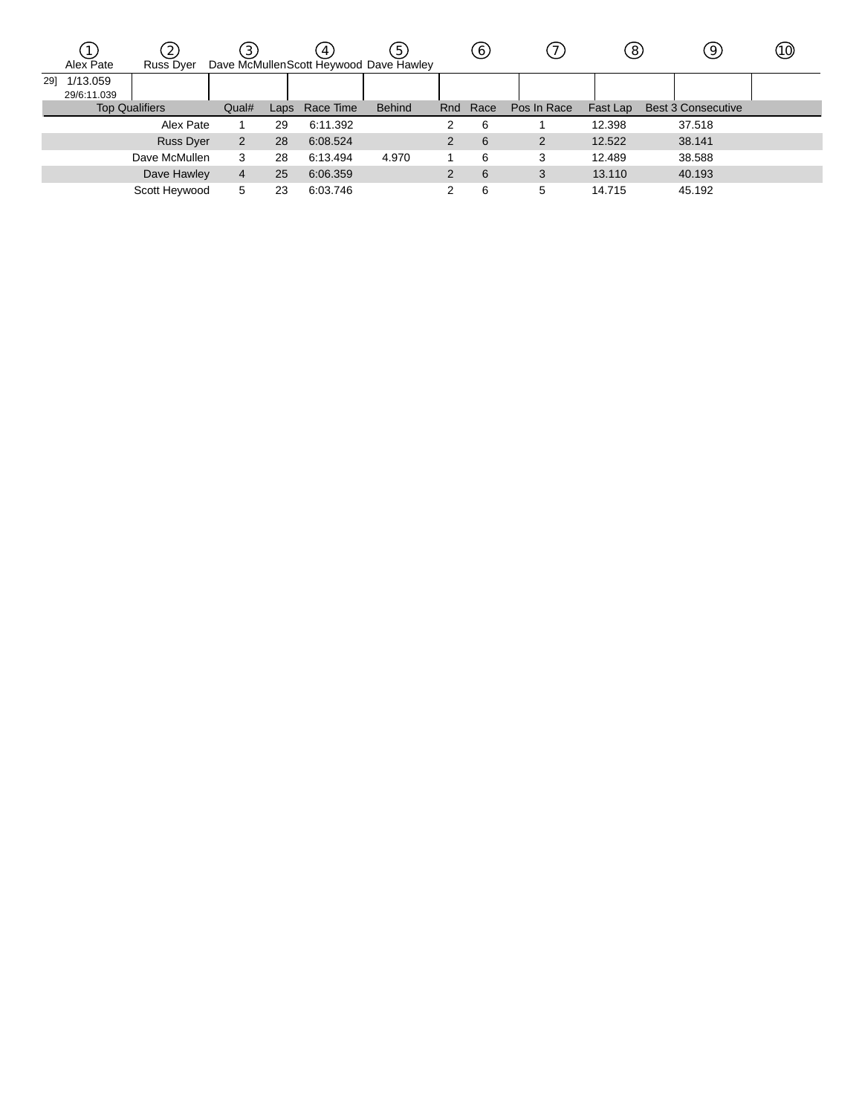|     | Alex Pate               | $\overline{c}$<br><b>Russ Dyer</b> | $\left(3\right)$ |      | 4         | 5<br>Dave McMullenScott Heywood Dave Hawley |               | 6        |             | 8        | $\overline{9}$            | (10) |
|-----|-------------------------|------------------------------------|------------------|------|-----------|---------------------------------------------|---------------|----------|-------------|----------|---------------------------|------|
| 291 | 1/13.059<br>29/6:11.039 |                                    |                  |      |           |                                             |               |          |             |          |                           |      |
|     |                         | <b>Top Qualifiers</b>              |                  | Laps | Race Time | <b>Behind</b>                               |               | Rnd Race | Pos In Race | Fast Lap | <b>Best 3 Consecutive</b> |      |
|     |                         | Alex Pate                          |                  | 29   | 6:11.392  |                                             | 2             | 6        |             | 12.398   | 37.518                    |      |
|     |                         | <b>Russ Dyer</b>                   | $\overline{2}$   | 28   | 6:08.524  |                                             | 2             | 6        | 2           | 12.522   | 38.141                    |      |
|     |                         | Dave McMullen                      | 3                | 28   | 6:13.494  | 4.970                                       |               | 6        | 3           | 12.489   | 38.588                    |      |
|     |                         | Dave Hawley                        | 4                | 25   | 6:06.359  |                                             | $\mathcal{P}$ | 6        | 3           | 13.110   | 40.193                    |      |
|     |                         | Scott Heywood                      | 5                | 23   | 6:03.746  |                                             | っ             | 6        | 5           | 14.715   | 45.192                    |      |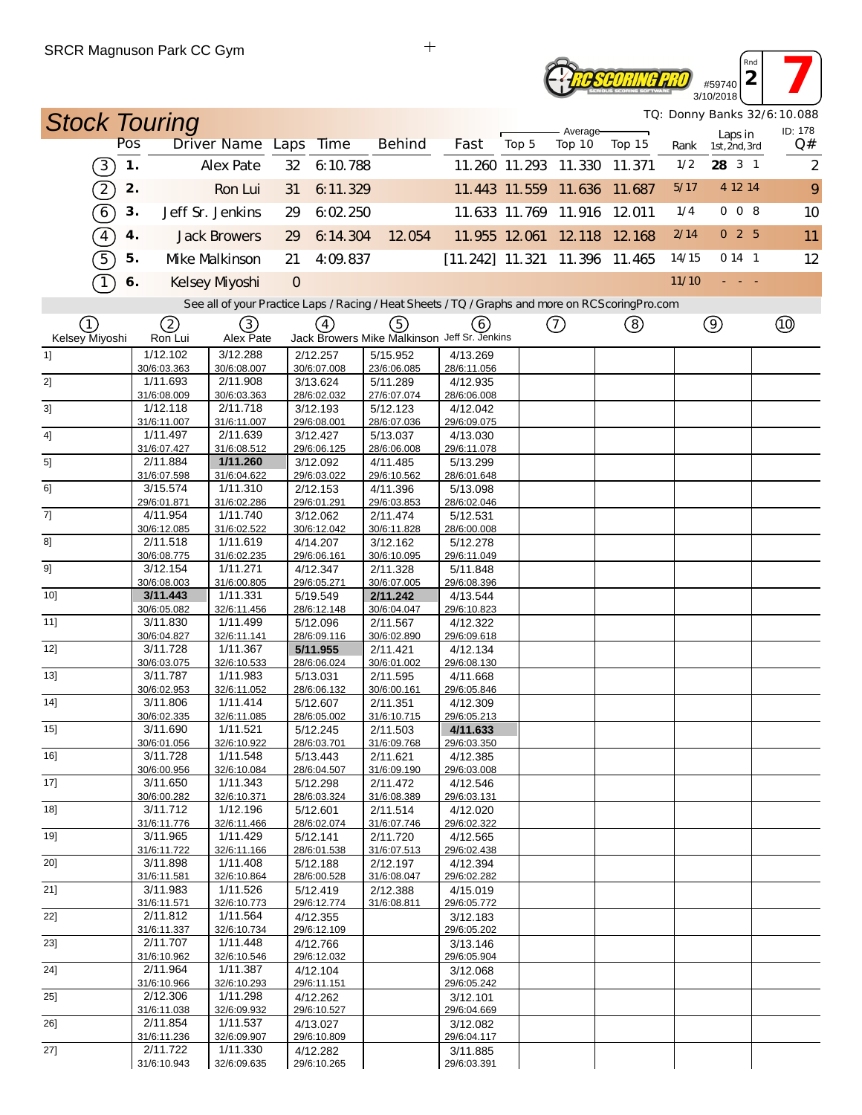## $^{459740}_{40/2018}$ **Reseoring PRO** 3/10/2018

*TQ: Donny Banks 32/6:10.088*

*Rnd*

| <b>Stock Touring</b>                           |                         |                                                                                                   |                         |          |                                              |                               |       | Average-                    |        |       |                          | TQ: Donny Banks 32/6:10.088<br>ID: 178 |
|------------------------------------------------|-------------------------|---------------------------------------------------------------------------------------------------|-------------------------|----------|----------------------------------------------|-------------------------------|-------|-----------------------------|--------|-------|--------------------------|----------------------------------------|
|                                                | Pos                     | Driver Name Laps                                                                                  | <b>Time</b>             |          | <b>Behind</b>                                | Fast                          | Top 5 | Top 10                      | Top 15 | Rank  | Laps in<br>1st, 2nd, 3rd | Q#                                     |
| $\left(3\right)$                               | 1.                      | <b>Alex Pate</b>                                                                                  | 32                      | 6:10.788 |                                              |                               |       | 11.260 11.293 11.330        | 11.371 | 1/2   | 28 3 1                   | $\overline{2}$                         |
| $\Large{\mathbb{2}}$                           | 2.                      | Ron Lui                                                                                           | 31                      | 6:11.329 |                                              |                               |       | 11.443 11.559 11.636 11.687 |        | 5/17  | 4 12 14                  | 9                                      |
| (6)                                            | 3.                      | Jeff Sr. Jenkins                                                                                  | 29                      | 6.02.250 |                                              |                               |       | 11.633 11.769 11.916 12.011 |        | 1/4   | 008                      | 10                                     |
| $\boxed{4}$                                    | 4.                      | <b>Jack Browers</b>                                                                               | 29                      | 6:14.304 | 12.054                                       |                               |       | 11.955 12.061 12.118 12.168 |        | 2/14  | 025                      | 11                                     |
| 5                                              | 5.                      | Mke Malkinson                                                                                     | 21                      | 4:09.837 |                                              | [11.242] 11.321 11.396 11.465 |       |                             |        | 14/15 | 0141                     | 12                                     |
| $\left( \begin{matrix} 1 \end{matrix} \right)$ | 6.                      | Kelsey Myoshi                                                                                     | $\overline{O}$          |          |                                              |                               |       |                             |        | 11/10 |                          |                                        |
|                                                |                         | See all of your Practice Laps / Racing / Heat Sheets / TQ / Graphs and more on RCS coring Pro.com |                         |          |                                              |                               |       |                             |        |       |                          |                                        |
| (1)                                            | 2                       | $\circled{3}$                                                                                     | (4)                     |          | (5)                                          | (6)                           |       | (7)                         | (8)    |       | $\circledcirc$           | Q)                                     |
| Kelsey Miyoshi                                 | Ron Lui                 | Alex Pate                                                                                         |                         |          | Jack Browers Mike Malkinson Jeff Sr. Jenkins |                               |       |                             |        |       |                          |                                        |
| 11                                             | 1/12.102<br>30/6:03.363 | 3/12.288<br>30/6:08.007                                                                           | 2/12.257<br>30/6:07.008 |          | 5/15.952<br>23/6:06.085                      | 4/13.269<br>28/6:11.056       |       |                             |        |       |                          |                                        |
| 2]                                             | 1/11.693                | 2/11.908                                                                                          | 3/13.624                |          | 5/11.289                                     | 4/12.935                      |       |                             |        |       |                          |                                        |
|                                                | 31/6:08.009             | 30/6:03.363                                                                                       | 28/6:02.032             |          | 27/6:07.074                                  | 28/6:06.008                   |       |                             |        |       |                          |                                        |
| 3]                                             | 1/12.118<br>31/6:11.007 | 2/11.718<br>31/6:11.007                                                                           | 3/12.193<br>29/6:08.001 |          | 5/12.123<br>28/6:07.036                      | 4/12.042<br>29/6:09.075       |       |                             |        |       |                          |                                        |
| 4]                                             | 1/11.497                | 2/11.639                                                                                          | 3/12.427                |          | 5/13.037                                     | 4/13.030                      |       |                             |        |       |                          |                                        |
|                                                | 31/6:07.427             | 31/6:08.512                                                                                       | 29/6:06.125             |          | 28/6:06.008                                  | 29/6:11.078                   |       |                             |        |       |                          |                                        |
| 5]                                             | 2/11.884<br>31/6:07.598 | 1/11.260<br>31/6:04.622                                                                           | 3/12.092<br>29/6:03.022 |          | 4/11.485<br>29/6:10.562                      | 5/13.299<br>28/6:01.648       |       |                             |        |       |                          |                                        |
| 61                                             | 3/15.574                | 1/11.310                                                                                          | 2/12.153                |          | 4/11.396                                     | 5/13.098                      |       |                             |        |       |                          |                                        |
|                                                | 29/6:01.871             | 31/6:02.286                                                                                       | 29/6:01.291             |          | 29/6:03.853                                  | 28/6:02.046                   |       |                             |        |       |                          |                                        |
| 7]                                             | 4/11.954                | 1/11.740                                                                                          | 3/12.062                |          | 2/11.474                                     | 5/12.531                      |       |                             |        |       |                          |                                        |
| 8]                                             | 30/6:12.085<br>2/11.518 | 31/6:02.522<br>1/11.619                                                                           | 30/6:12.042<br>4/14.207 |          | 30/6:11.828<br>3/12.162                      | 28/6:00.008<br>5/12.278       |       |                             |        |       |                          |                                        |
|                                                | 30/6:08.775             | 31/6:02.235                                                                                       | 29/6:06.161             |          | 30/6:10.095                                  | 29/6:11.049                   |       |                             |        |       |                          |                                        |
| 9]                                             | 3/12.154                | 1/11.271                                                                                          | 4/12.347                |          | 2/11.328                                     | 5/11.848                      |       |                             |        |       |                          |                                        |
|                                                | 30/6:08.003             | 31/6:00.805                                                                                       | 29/6:05.271             |          | 30/6:07.005                                  | 29/6:08.396                   |       |                             |        |       |                          |                                        |
| $10$ ]                                         | 3/11.443<br>30/6:05.082 | 1/11.331<br>32/6:11.456                                                                           | 5/19.549<br>28/6:12.148 |          | 2/11.242<br>30/6:04.047                      | 4/13.544<br>29/6:10.823       |       |                             |        |       |                          |                                        |
| 11]                                            | 3/11.830                | 1/11.499                                                                                          | 5/12.096                |          | 2/11.567                                     | 4/12.322                      |       |                             |        |       |                          |                                        |
|                                                | 30/6:04.827             | 32/6:11.141                                                                                       | 28/6:09.116             |          | 30/6:02.890                                  | 29/6:09.618                   |       |                             |        |       |                          |                                        |
| 12]                                            | 3/11.728<br>30/6:03.075 | 1/11.367<br>32/6:10.533                                                                           | 5/11.955<br>28/6:06.024 |          | 2/11.421<br>30/6:01.002                      | 4/12.134<br>29/6:08.130       |       |                             |        |       |                          |                                        |
| 13]                                            | 3/11.787                | 1/11.983                                                                                          | 5/13.031                |          | 2/11.595                                     | 4/11.668                      |       |                             |        |       |                          |                                        |
|                                                | 30/6:02.953             | 32/6:11.052                                                                                       | 28/6:06.132             |          | 30/6:00.161                                  | 29/6:05.846                   |       |                             |        |       |                          |                                        |
| 14]                                            | 3/11.806                | 1/11.414                                                                                          | 5/12.607                |          | 2/11.351                                     | 4/12.309                      |       |                             |        |       |                          |                                        |
| 15]                                            | 30/6:02.335<br>3/11.690 | 32/6:11.085<br>1/11.521                                                                           | 28/6:05.002<br>5/12.245 |          | 31/6:10.715<br>2/11.503                      | 29/6:05.213<br>4/11.633       |       |                             |        |       |                          |                                        |
|                                                | 30/6:01.056             | 32/6.10922                                                                                        | 28/6:03 701             |          | 31/6:09 768                                  | 29/6:03.350                   |       |                             |        |       |                          |                                        |
| 16]                                            | 3/11.728                | 1/11.548                                                                                          | 5/13.443                |          | 2/11.621                                     | 4/12.385                      |       |                             |        |       |                          |                                        |
|                                                | 30/6:00.956<br>3/11.650 | 32/6:10.084<br>1/11.343                                                                           | 28/6:04.507             |          | 31/6:09.190                                  | 29/6:03.008                   |       |                             |        |       |                          |                                        |
| 17]                                            | 30/6:00.282             | 32/6:10.371                                                                                       | 5/12.298<br>28/6:03.324 |          | 2/11.472<br>31/6:08.389                      | 4/12.546<br>29/6:03.131       |       |                             |        |       |                          |                                        |
| 18]                                            | 3/11.712                | 1/12.196                                                                                          | 5/12.601                |          | 2/11.514                                     | 4/12.020                      |       |                             |        |       |                          |                                        |
|                                                | 31/6:11.776             | 32/6:11.466                                                                                       | 28/6:02.074             |          | 31/6:07.746                                  | 29/6:02.322                   |       |                             |        |       |                          |                                        |
| 19]                                            | 3/11.965<br>31/6:11.722 | 1/11.429<br>32/6:11.166                                                                           | 5/12.141<br>28/6:01.538 |          | 2/11.720<br>31/6:07.513                      | 4/12.565<br>29/6:02.438       |       |                             |        |       |                          |                                        |
| 20]                                            | 3/11.898                | 1/11.408                                                                                          | 5/12.188                |          | 2/12.197                                     | 4/12.394                      |       |                             |        |       |                          |                                        |
|                                                | 31/6:11.581             | 32/6:10.864                                                                                       | 28/6:00.528             |          | 31/6:08.047                                  | 29/6:02.282                   |       |                             |        |       |                          |                                        |
| 21]                                            | 3/11.983                | 1/11.526                                                                                          | 5/12.419                |          | 2/12.388                                     | 4/15.019                      |       |                             |        |       |                          |                                        |
| 22]                                            | 31/6:11.571<br>2/11.812 | 32/6:10.773<br>1/11.564                                                                           | 29/6:12.774<br>4/12.355 |          | 31/6:08.811                                  | 29/6:05.772<br>3/12.183       |       |                             |        |       |                          |                                        |
|                                                | 31/6:11.337             | 32/6:10.734                                                                                       | 29/6:12.109             |          |                                              | 29/6:05.202                   |       |                             |        |       |                          |                                        |
| 23]                                            | 2/11.707                | 1/11.448                                                                                          | 4/12.766                |          |                                              | 3/13.146                      |       |                             |        |       |                          |                                        |
| 24]                                            | 31/6:10.962<br>2/11.964 | 32/6:10.546<br>1/11.387                                                                           | 29/6:12.032<br>4/12.104 |          |                                              | 29/6:05.904<br>3/12.068       |       |                             |        |       |                          |                                        |
|                                                | 31/6:10.966             | 32/6:10.293                                                                                       | 29/6:11.151             |          |                                              | 29/6:05.242                   |       |                             |        |       |                          |                                        |
| 25]                                            | 2/12.306                | 1/11.298                                                                                          | 4/12.262                |          |                                              | 3/12.101                      |       |                             |        |       |                          |                                        |
| 26]                                            | 31/6:11.038<br>2/11.854 | 32/6:09.932<br>1/11.537                                                                           | 29/6:10.527<br>4/13.027 |          |                                              | 29/6:04.669<br>3/12.082       |       |                             |        |       |                          |                                        |
|                                                | 31/6:11.236             | 32/6:09.907                                                                                       | 29/6:10.809             |          |                                              | 29/6:04.117                   |       |                             |        |       |                          |                                        |
| 27]                                            | 2/11.722                | 1/11.330                                                                                          | 4/12.282                |          |                                              | 3/11.885                      |       |                             |        |       |                          |                                        |
|                                                | 31/6:10.943             | 32/6:09.635                                                                                       | 29/6:10.265             |          |                                              | 29/6:03.391                   |       |                             |        |       |                          |                                        |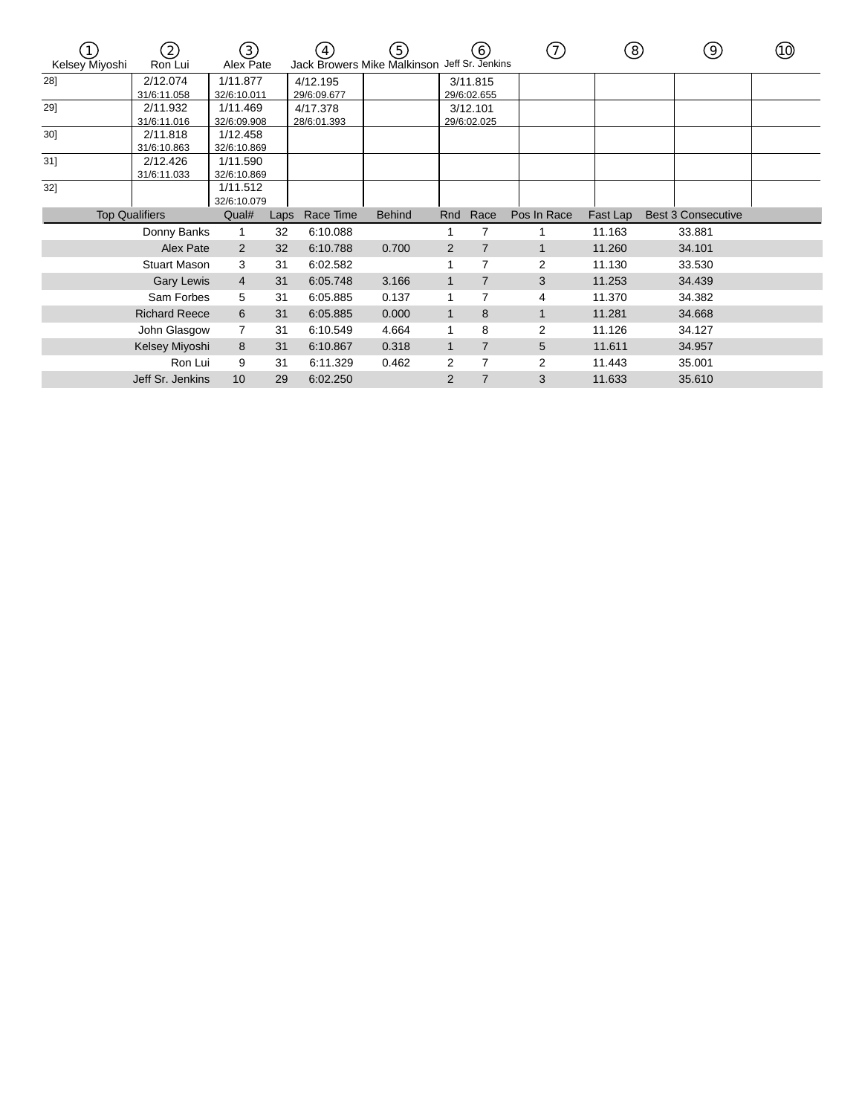| Kelsey Miyoshi        | 2<br>Ron Lui            | 3)<br>Alex Pate         |      | 4<br>Jack Browers Mike Malkinson Jeff Sr. Jenkins | (5)           |                | (6)                     | (7)         | (8)      | (9)                       | (10) |
|-----------------------|-------------------------|-------------------------|------|---------------------------------------------------|---------------|----------------|-------------------------|-------------|----------|---------------------------|------|
| 28]                   | 2/12.074<br>31/6:11.058 | 1/11.877<br>32/6:10.011 |      | 4/12.195<br>29/6:09.677                           |               |                | 3/11.815<br>29/6:02.655 |             |          |                           |      |
| 29]                   | 2/11.932<br>31/6:11.016 | 1/11.469<br>32/6:09.908 |      | 4/17.378<br>28/6:01.393                           |               |                | 3/12.101<br>29/6:02.025 |             |          |                           |      |
| 30]                   | 2/11.818<br>31/6:10.863 | 1/12.458<br>32/6:10.869 |      |                                                   |               |                |                         |             |          |                           |      |
| 31                    | 2/12.426<br>31/6:11.033 | 1/11.590<br>32/6:10.869 |      |                                                   |               |                |                         |             |          |                           |      |
| $32$ ]                |                         | 1/11.512<br>32/6:10.079 |      |                                                   |               |                |                         |             |          |                           |      |
| <b>Top Qualifiers</b> |                         | Qual#                   | Laps | Race Time                                         | <b>Behind</b> | Rnd            | Race                    | Pos In Race | Fast Lap | <b>Best 3 Consecutive</b> |      |
|                       | Donny Banks             | 1                       | 32   | 6:10.088                                          |               |                | $\overline{7}$          |             | 11.163   | 33.881                    |      |
|                       | Alex Pate               | $\overline{2}$          | 32   | 6:10.788                                          | 0.700         | 2              | $\overline{7}$          |             | 11.260   | 34.101                    |      |
|                       | <b>Stuart Mason</b>     | 3                       | 31   | 6:02.582                                          |               |                | $\overline{7}$          | 2           | 11.130   | 33.530                    |      |
|                       | <b>Gary Lewis</b>       | $\overline{4}$          | 31   | 6:05.748                                          | 3.166         | $\mathbf{1}$   | $\overline{7}$          | 3           | 11.253   | 34.439                    |      |
|                       | Sam Forbes              | 5                       | 31   | 6:05.885                                          | 0.137         |                | 7                       | 4           | 11.370   | 34.382                    |      |
|                       | <b>Richard Reece</b>    | 6                       | 31   | 6:05.885                                          | 0.000         | 1              | 8                       | 1           | 11.281   | 34.668                    |      |
|                       | John Glasgow            |                         | 31   | 6:10.549                                          | 4.664         |                | 8                       | 2           | 11.126   | 34.127                    |      |
|                       | Kelsey Miyoshi          | 8                       | 31   | 6:10.867                                          | 0.318         | 1              | $\overline{7}$          | 5           | 11.611   | 34.957                    |      |
|                       | Ron Lui                 | 9                       | 31   | 6:11.329                                          | 0.462         | 2              | $\overline{7}$          | 2           | 11.443   | 35.001                    |      |
|                       | Jeff Sr. Jenkins        | 10                      | 29   | 6:02.250                                          |               | $\overline{2}$ | $\overline{7}$          | 3           | 11.633   | 35.610                    |      |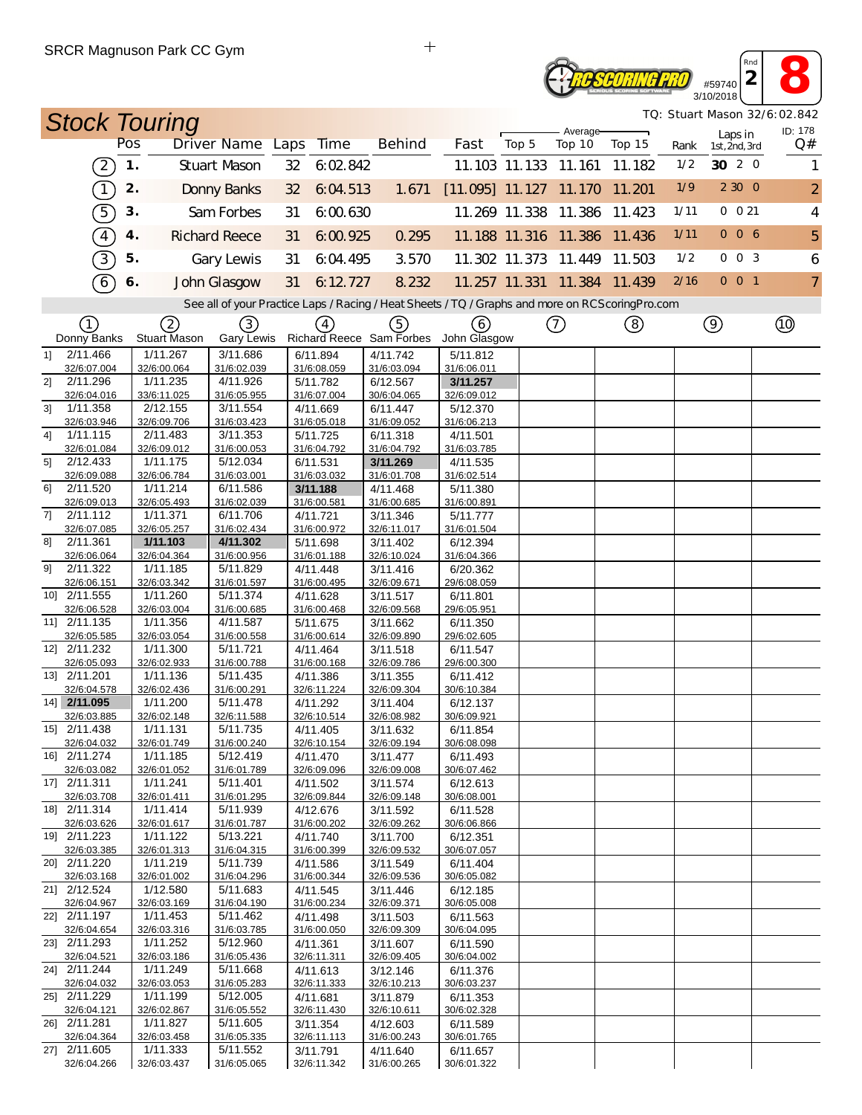## **2 8**<br> **2 8**<br> **10/2018 RESCORING PRO** 3/10/2018

*TQ: Stuart Mason 32/6:02.842*

*Rnd*

|                | <b>Stock Touring</b>        |               |                          |                                                                                                   |    |                         |                               |                          |       |                      |                             |      |                          | TQ: Stuart Mason 32/6:02.842 |
|----------------|-----------------------------|---------------|--------------------------|---------------------------------------------------------------------------------------------------|----|-------------------------|-------------------------------|--------------------------|-------|----------------------|-----------------------------|------|--------------------------|------------------------------|
|                |                             | Pos           |                          | Driver Name Laps                                                                                  |    | <b>Time</b>             | <b>Behind</b>                 | Fast                     | Top 5 | Average-<br>Top 10   | Top 15                      | Rank | Laps in<br>1st, 2nd, 3rd | ID: 178<br>Q#                |
|                | $\left(2\right)$            | $\mathbf 1$ . |                          | Stuart Mason                                                                                      | 32 | 6:02.842                |                               |                          |       | 11.103 11.133 11.161 | 11.182                      | 1/2  | 30 2 0                   | 1                            |
|                | $\sqrt{1}$                  | 2.            |                          | <b>Donny Banks</b>                                                                                | 32 | 6:04.513                | 1.671                         | $[11.095]$ 11.127 11.170 |       |                      | 11.201                      | 1/9  | 2 3 0 0                  | $\overline{2}$               |
|                | $\widehat{5}$               | 3.            |                          | Sam Forbes                                                                                        | 31 | 6:00.630                |                               |                          |       | 11.269 11.338 11.386 | 11.423                      | 1/11 | $0 \t0 21$               | 4                            |
|                | $\boxed{4}$                 | 4.            |                          | <b>Richard Reece</b>                                                                              | 31 | 6:00.925                | 0.295                         |                          |       | 11.188 11.316 11.386 | 11.436                      | 1/11 | 006                      | 5                            |
|                | $\overline{3}$              | 5.            |                          | Gary Lewis                                                                                        | 31 |                         | 3.570                         |                          |       | 11.302 11.373 11.449 | 11.503                      | 1/2  | $0 \t0 \t3$              | 6                            |
|                |                             |               |                          |                                                                                                   |    | 6:04.495                |                               |                          |       |                      |                             | 2/16 | $0$ 0 1                  |                              |
|                | $\widehat{6}$               | 6.            |                          | John Glasgow                                                                                      | 31 | 6:12.727                | 8.232                         |                          |       |                      | 11.257 11.331 11.384 11.439 |      |                          | $\overline{7}$               |
|                |                             |               |                          | See all of your Practice Laps / Racing / Heat Sheets / TQ / Graphs and more on RCS coring Pro.com |    |                         |                               |                          |       |                      |                             |      |                          |                              |
|                | ①<br>Donny Banks            |               | 2<br><b>Stuart Mason</b> | ③<br>Gary Lewis                                                                                   |    | $\left(4\right)$        | 5<br>Richard Reece Sam Forbes | (6)<br>John Glasgow      |       | $\circled{1}$        | (8)                         |      | $\circledcirc$           |                              |
| 1              | 2/11.466                    |               | 1/11.267                 | 3/11.686                                                                                          |    | 6/11.894                | 4/11.742                      | 5/11.812                 |       |                      |                             |      |                          |                              |
| 21             | 32/6:07.004<br>2/11.296     |               | 32/6:00.064<br>1/11.235  | 31/6:02.039<br>4/11.926                                                                           |    | 31/6:08.059<br>5/11.782 | 31/6:03.094<br>6/12.567       | 31/6:06.011<br>3/11.257  |       |                      |                             |      |                          |                              |
|                | 32/6:04.016                 |               | 33/6:11.025              | 31/6:05.955                                                                                       |    | 31/6:07.004             | 30/6:04.065                   | 32/6:09.012              |       |                      |                             |      |                          |                              |
| 3 <sup>1</sup> | 1/11.358                    |               | 2/12.155                 | 3/11.554                                                                                          |    | 4/11.669                | 6/11.447                      | 5/12.370                 |       |                      |                             |      |                          |                              |
|                | 32/6:03.946                 |               | 32/6:09.706              | 31/6:03.423                                                                                       |    | 31/6:05.018             | 31/6:09.052                   | 31/6:06.213              |       |                      |                             |      |                          |                              |
| 41             | 1/11.115                    |               | 2/11.483                 | 3/11.353                                                                                          |    | 5/11.725                | 6/11.318                      | 4/11.501                 |       |                      |                             |      |                          |                              |
| 5]             | 32/6:01.084<br>2/12.433     |               | 32/6:09.012<br>1/11.175  | 31/6:00.053<br>5/12.034                                                                           |    | 31/6:04.792<br>6/11.531 | 31/6:04.792<br>3/11.269       | 31/6:03.785<br>4/11.535  |       |                      |                             |      |                          |                              |
|                | 32/6:09.088                 |               | 32/6:06.784              | 31/6:03.001                                                                                       |    | 31/6:03.032             | 31/6:01.708                   | 31/6:02.514              |       |                      |                             |      |                          |                              |
| 61             | 2/11.520                    |               | 1/11.214                 | 6/11.586                                                                                          |    | 3/11.188                | 4/11.468                      | 5/11.380                 |       |                      |                             |      |                          |                              |
|                | 32/6:09.013                 |               | 32/6:05.493              | 31/6:02.039                                                                                       |    | 31/6:00.581             | 31/6:00.685                   | 31/6:00.891              |       |                      |                             |      |                          |                              |
| 71             | 2/11.112<br>32/6:07.085     |               | 1/11.371<br>32/6:05.257  | 6/11.706<br>31/6:02.434                                                                           |    | 4/11.721<br>31/6:00.972 | 3/11.346<br>32/6:11.017       | 5/11.777                 |       |                      |                             |      |                          |                              |
| 81             | 2/11.361                    |               | 1/11.103                 | 4/11.302                                                                                          |    | 5/11.698                | 3/11.402                      | 31/6:01.504<br>6/12.394  |       |                      |                             |      |                          |                              |
|                | 32/6:06.064                 |               | 32/6:04.364              | 31/6:00.956                                                                                       |    | 31/6:01.188             | 32/6:10.024                   | 31/6:04.366              |       |                      |                             |      |                          |                              |
| 91             | 2/11.322                    |               | 1/11.185                 | 5/11.829                                                                                          |    | 4/11.448                | 3/11.416                      | 6/20.362                 |       |                      |                             |      |                          |                              |
|                | 32/6:06.151                 |               | 32/6:03.342              | 31/6:01.597                                                                                       |    | 31/6:00.495             | 32/6:09.671                   | 29/6:08.059              |       |                      |                             |      |                          |                              |
|                | 10] 2/11.555<br>32/6:06.528 |               | 1/11.260<br>32/6:03.004  | 5/11.374<br>31/6:00.685                                                                           |    | 4/11.628<br>31/6:00.468 | 3/11.517<br>32/6:09.568       | 6/11.801<br>29/6:05.951  |       |                      |                             |      |                          |                              |
|                | 11] 2/11.135                |               | 1/11.356                 | 4/11.587                                                                                          |    | 5/11.675                | 3/11.662                      | 6/11.350                 |       |                      |                             |      |                          |                              |
|                | 32/6:05.585                 |               | 32/6:03.054              | 31/6:00.558                                                                                       |    | 31/6:00.614             | 32/6:09.890                   | 29/6:02.605              |       |                      |                             |      |                          |                              |
|                | 12] 2/11.232                |               | 1/11.300                 | 5/11.721                                                                                          |    | 4/11.464                | 3/11.518                      | 6/11.547                 |       |                      |                             |      |                          |                              |
|                | 32/6:05.093                 |               | 32/6:02.933              | 31/6:00.788                                                                                       |    | 31/6:00.168             | 32/6:09.786                   | 29/6:00.300              |       |                      |                             |      |                          |                              |
|                | 13] 2/11.201<br>32/6:04.578 |               | 1/11.136<br>32/6:02.436  | 5/11.435<br>31/6:00.291                                                                           |    | 4/11.386<br>32/6:11.224 | 3/11.355<br>32/6:09.304       | 6/11.412<br>30/6:10.384  |       |                      |                             |      |                          |                              |
|                | 14] 2/11.095                |               | 1/11.200                 | 5/11.478                                                                                          |    | 4/11.292                | 3/11.404                      | 6/12.137                 |       |                      |                             |      |                          |                              |
|                | 32/6:03.885                 |               | 32/6:02.148              | 32/6:11.588                                                                                       |    | 32/6:10.514             | 32/6:08.982                   | 30/6:09.921              |       |                      |                             |      |                          |                              |
|                | 15] 2/11.438                |               | 1/11.131                 | 5/11.735                                                                                          |    | 4/11.405                | 3/11.632                      | 6/11.854                 |       |                      |                             |      |                          |                              |
|                | 32/6:04.032                 |               | 32/6:01.749              | 31/6:00.240                                                                                       |    | 32/6:10.154             | 32/6:09.194                   | 30/6:08.098              |       |                      |                             |      |                          |                              |
|                | 16] 2/11.274<br>32/6:03.082 |               | 1/11.185<br>32/6:01.052  | 5/12.419<br>31/6:01.789                                                                           |    | 4/11.470<br>32/6:09.096 | 3/11.477<br>32/6:09.008       | 6/11.493<br>30/6:07.462  |       |                      |                             |      |                          |                              |
|                | 17] 2/11.311                |               | 1/11.241                 | 5/11.401                                                                                          |    | 4/11.502                | 3/11.574                      | 6/12.613                 |       |                      |                             |      |                          |                              |
|                | 32/6:03.708                 |               | 32/6:01.411              | 31/6:01.295                                                                                       |    | 32/6:09.844             | 32/6:09.148                   | 30/6:08.001              |       |                      |                             |      |                          |                              |
|                | 18] 2/11.314                |               | 1/11.414                 | 5/11.939                                                                                          |    | 4/12.676                | 3/11.592                      | 6/11.528                 |       |                      |                             |      |                          |                              |
|                | 32/6:03.626                 |               | 32/6:01.617              | 31/6:01.787                                                                                       |    | 31/6:00.202             | 32/6:09.262                   | 30/6:06.866              |       |                      |                             |      |                          |                              |
|                | 19] 2/11.223<br>32/6:03.385 |               | 1/11.122<br>32/6:01.313  | 5/13.221<br>31/6:04.315                                                                           |    | 4/11.740<br>31/6:00.399 | 3/11.700<br>32/6:09.532       | 6/12.351<br>30/6:07.057  |       |                      |                             |      |                          |                              |
|                | 20] 2/11.220                |               | 1/11.219                 | 5/11.739                                                                                          |    | 4/11.586                | 3/11.549                      | 6/11.404                 |       |                      |                             |      |                          |                              |
|                | 32/6:03.168                 |               | 32/6:01.002              | 31/6:04.296                                                                                       |    | 31/6:00.344             | 32/6:09.536                   | 30/6:05.082              |       |                      |                             |      |                          |                              |
|                | 21] 2/12.524                |               | 1/12.580                 | 5/11.683                                                                                          |    | 4/11.545                | 3/11.446                      | 6/12.185                 |       |                      |                             |      |                          |                              |
|                | 32/6:04.967<br>22] 2/11.197 |               | 32/6:03.169<br>1/11.453  | 31/6:04.190<br>5/11.462                                                                           |    | 31/6:00.234<br>4/11.498 | 32/6:09.371<br>3/11.503       | 30/6:05.008<br>6/11.563  |       |                      |                             |      |                          |                              |
|                | 32/6:04.654                 |               | 32/6:03.316              | 31/6:03.785                                                                                       |    | 31/6:00.050             | 32/6:09.309                   | 30/6:04.095              |       |                      |                             |      |                          |                              |
|                | 23] 2/11.293                |               | 1/11.252                 | 5/12.960                                                                                          |    | 4/11.361                | 3/11.607                      | 6/11.590                 |       |                      |                             |      |                          |                              |
|                | 32/6:04.521                 |               | 32/6:03.186              | 31/6:05.436                                                                                       |    | 32/6:11.311             | 32/6:09.405                   | 30/6:04.002              |       |                      |                             |      |                          |                              |
|                | 24] 2/11.244                |               | 1/11.249                 | 5/11.668                                                                                          |    | 4/11.613                | 3/12.146                      | 6/11.376                 |       |                      |                             |      |                          |                              |
|                | 32/6:04.032<br>25] 2/11.229 |               | 32/6:03.053<br>1/11.199  | 31/6:05.283<br>5/12.005                                                                           |    | 32/6:11.333             | 32/6:10.213                   | 30/6:03.237              |       |                      |                             |      |                          |                              |
|                | 32/6:04.121                 |               | 32/6:02.867              | 31/6:05.552                                                                                       |    | 4/11.681<br>32/6:11.430 | 3/11.879<br>32/6:10.611       | 6/11.353<br>30/6:02.328  |       |                      |                             |      |                          |                              |
|                | 26] 2/11.281                |               | 1/11.827                 | 5/11.605                                                                                          |    | 3/11.354                | 4/12.603                      | 6/11.589                 |       |                      |                             |      |                          |                              |
|                | 32/6:04.364                 |               | 32/6:03.458              | 31/6:05.335                                                                                       |    | 32/6:11.113             | 31/6:00.243                   | 30/6:01.765              |       |                      |                             |      |                          |                              |
|                | 27] 2/11.605                |               | 1/11.333                 | 5/11.552                                                                                          |    | 3/11.791                | 4/11.640                      | 6/11.657                 |       |                      |                             |      |                          |                              |
|                | 32/6:04.266                 |               | 32/6:03.437              | 31/6:05.065                                                                                       |    | 32/6:11.342             | 31/6:00.265                   | 30/6:01.322              |       |                      |                             |      |                          |                              |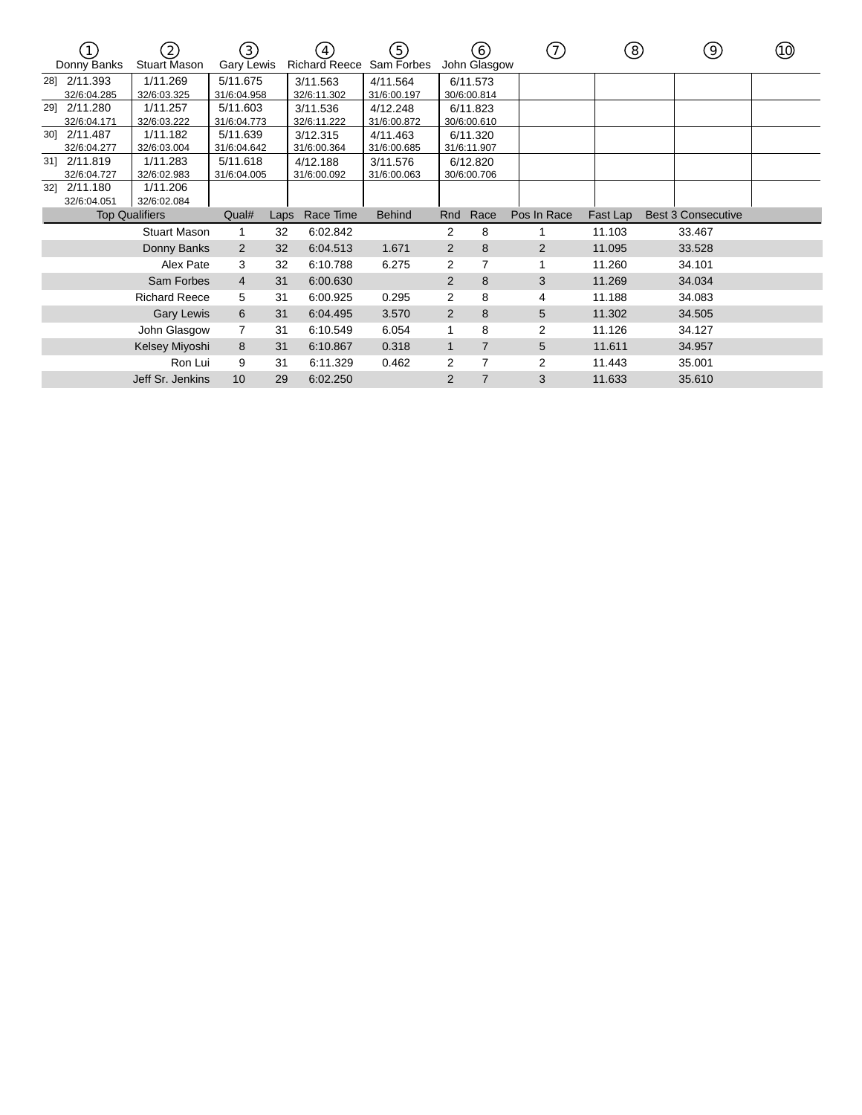|     | Donny Banks                 | $\left[2\right]$<br><b>Stuart Mason</b> | $\left(3\right)$<br>Gary Lewis                     |      | $\left 4\right\rangle$<br><b>Richard Reece</b> | 5)<br>Sam Forbes        |                         | (6)<br>John Glasgow     | 7)          | ි        | (9)                       | (10) |
|-----|-----------------------------|-----------------------------------------|----------------------------------------------------|------|------------------------------------------------|-------------------------|-------------------------|-------------------------|-------------|----------|---------------------------|------|
| 281 | 2/11.393<br>32/6:04.285     | 1/11.269<br>32/6:03.325                 | 5/11.675<br>31/6:04.958                            |      | 3/11.563<br>32/6:11.302                        | 4/11.564<br>31/6:00.197 |                         | 6/11.573<br>30/6:00.814 |             |          |                           |      |
|     | 29] 2/11.280<br>32/6:04.171 | 1/11.257<br>32/6:03.222                 | 5/11.603                                           |      | 3/11.536<br>32/6:11.222                        | 4/12.248<br>31/6:00.872 |                         | 6/11.823<br>30/6:00.610 |             |          |                           |      |
|     | 30] 2/11.487<br>32/6:04.277 | 1/11.182<br>32/6:03.004                 | 31/6:04.773<br>5/11.639<br>31/6:04.642<br>5/11.618 |      | 3/12.315<br>31/6:00.364                        | 4/11.463<br>31/6:00.685 | 6/11.320<br>31/6:11.907 |                         |             |          |                           |      |
| 31] | 2/11.819<br>32/6:04.727     | 1/11.283<br>32/6:02.983                 | 31/6:04.005                                        |      | 4/12.188<br>31/6:00.092                        | 3/11.576<br>31/6:00.063 |                         | 6/12.820<br>30/6:00.706 |             |          |                           |      |
| 321 | 2/11.180<br>32/6:04.051     | 1/11.206<br>32/6:02.084                 |                                                    |      |                                                |                         |                         |                         |             |          |                           |      |
|     |                             | <b>Top Qualifiers</b>                   | Qual#                                              | Laps | Race Time                                      | <b>Behind</b>           | Rnd                     | Race                    | Pos In Race | Fast Lap | <b>Best 3 Consecutive</b> |      |
|     |                             | <b>Stuart Mason</b>                     | 1                                                  | 32   | 6:02.842                                       |                         | 2                       | 8                       |             | 11.103   | 33.467                    |      |
|     |                             | Donny Banks                             | 2                                                  | 32   | 6:04.513                                       | 1.671                   | $\overline{2}$          | 8                       | 2           | 11.095   | 33.528                    |      |
|     |                             | Alex Pate                               | 3                                                  | 32   | 6:10.788                                       | 6.275                   | 2                       | $\overline{7}$          |             | 11.260   | 34.101                    |      |
|     |                             | Sam Forbes                              | $\overline{4}$                                     | 31   | 6:00.630                                       |                         | 2                       | 8                       | 3           | 11.269   | 34.034                    |      |
|     |                             | <b>Richard Reece</b>                    | 5                                                  | 31   | 6:00.925                                       | 0.295                   | 2                       | 8                       | 4           | 11.188   | 34.083                    |      |
|     |                             | <b>Gary Lewis</b>                       | 6                                                  | 31   | 6:04.495                                       | 3.570                   | 2                       | 8                       | 5           | 11.302   | 34.505                    |      |
|     |                             | John Glasgow                            |                                                    | 31   | 6:10.549                                       | 6.054                   |                         | 8                       | 2           | 11.126   | 34.127                    |      |
|     |                             | Kelsey Miyoshi                          | 8                                                  | 31   | 6:10.867                                       | 0.318                   | $\mathbf{1}$            | $\overline{7}$          | 5           | 11.611   | 34.957                    |      |
|     |                             | Ron Lui                                 | 9                                                  | 31   | 6:11.329                                       | 0.462                   | 2                       | $\overline{7}$          | 2           | 11.443   | 35.001                    |      |
|     |                             | Jeff Sr. Jenkins                        | 10                                                 | 29   | 6:02.250                                       |                         | $\overline{2}$          | $\overline{7}$          | 3           | 11.633   | 35.610                    |      |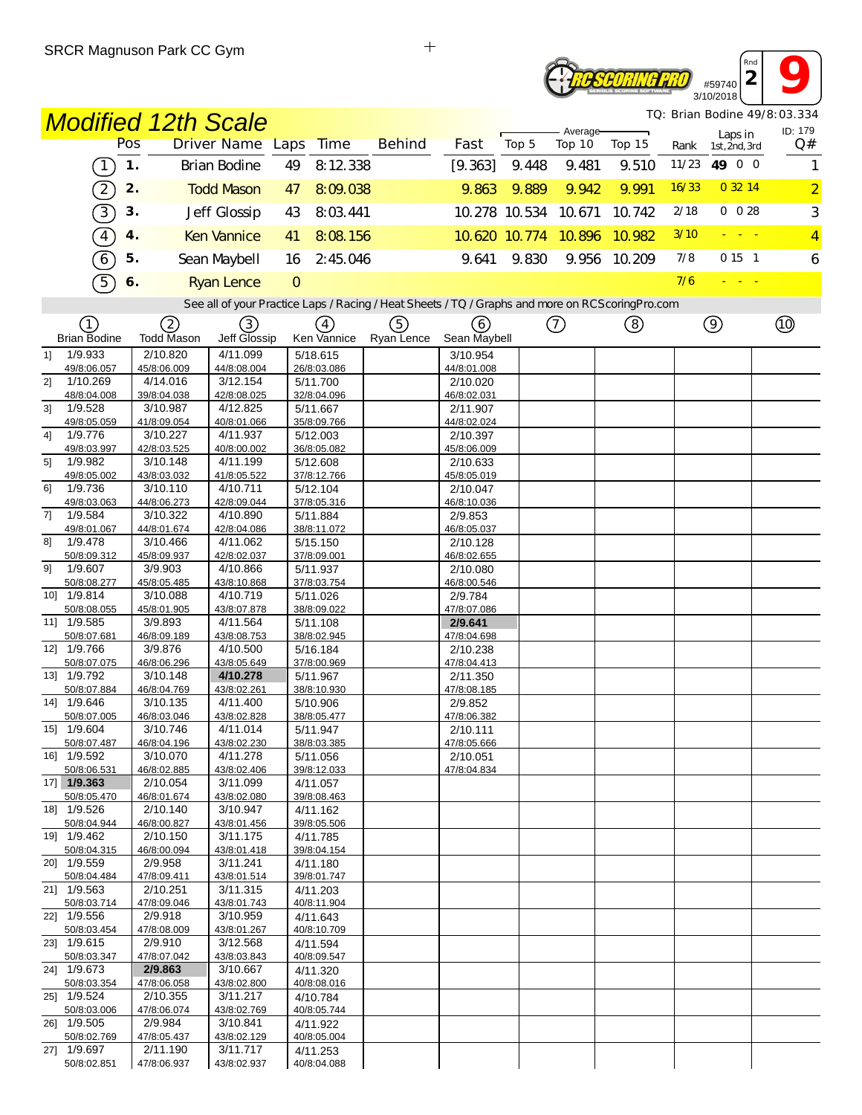### **2 9** *Rnd* **ROSCORING PRO** #59740 3/10/2018

*TQ: Brian Bodine 49/8:03.334*

| <b>Modified 12th Scale</b>       |                         |                                                                                                   |                         |               |                         |                      |                    |        |       | TQ: Brian Bodine 49/8:03.334 |                |
|----------------------------------|-------------------------|---------------------------------------------------------------------------------------------------|-------------------------|---------------|-------------------------|----------------------|--------------------|--------|-------|------------------------------|----------------|
|                                  | Pos                     | Driver Name Laps                                                                                  | <b>Time</b>             | <b>Behind</b> | Fast                    | Top 5                | Average-<br>Top 10 | Top 15 | Rank  | Laps in<br>1st, 2nd, 3rd     | ID: 179<br>Q#  |
| $\boxed{1}$                      | $\mathbf 1$ .           | <b>Brian Bodine</b>                                                                               | 8:12 338<br>49          |               | [9.363]                 | 9.448                | 9.481              | 9.510  | 11/23 | 49 0 0                       | 1              |
| $\widehat{2}$                    | 2.                      | <b>Todd Mason</b>                                                                                 | 8:09.038<br>47          |               | 9.863                   | 9.889                | 9.942              | 9.991  | 16/33 | 0 32 14                      | $\overline{2}$ |
| $\boxed{3}$                      | 3.                      | Jeff Glossip                                                                                      | 8:03.441<br>43          |               |                         | 10.278 10.534        | 10.671             | 10.742 | 2/18  | $0\ 0\ 28$                   | 3              |
| $\boxed{4}$                      | 4.                      | <b>Ken Vannice</b>                                                                                | 8:08.156<br>41          |               |                         | 10.620 10.774 10.896 |                    | 10.982 | 3/10  |                              | $\overline{4}$ |
| $6\overline{6}$                  | 5.                      | Sean Maybell                                                                                      | 16<br>2:45.046          |               | 9.641                   | 9.830                | 9.956              | 10.209 | 7/8   | 0151                         | 6              |
| 5                                | 6.                      | <b>Ryan Lence</b>                                                                                 | $\circ$                 |               |                         |                      |                    |        | 7/6   | 20 A 30                      |                |
|                                  |                         | See all of your Practice Laps / Racing / Heat Sheets / TQ / Graphs and more on RCS coring Pro.com |                         |               |                         |                      |                    |        |       |                              |                |
| (1)                              | ②                       | ③                                                                                                 | $\left(4\right)$        | ⑤             | 6                       |                      | $\circled{1}$      | ③      |       | $\circledcirc$               | $^{\circledR}$ |
| <b>Brian Bodine</b>              | <b>Todd Mason</b>       | Jeff Glossip                                                                                      | Ken Vannice             | Ryan Lence    | Sean Maybell            |                      |                    |        |       |                              |                |
| 1/9.933<br>1                     | 2/10.820                | 4/11.099                                                                                          | 5/18.615                |               | 3/10.954                |                      |                    |        |       |                              |                |
| 49/8:06.057<br>21<br>1/10.269    | 45/8:06.009<br>4/14.016 | 44/8:08.004<br>3/12.154                                                                           | 26/8:03.086<br>5/11.700 |               | 44/8:01.008<br>2/10.020 |                      |                    |        |       |                              |                |
| 48/8:04.008                      | 39/8:04.038             | 42/8:08.025                                                                                       | 32/8:04.096             |               | 46/8:02.031             |                      |                    |        |       |                              |                |
| 3]<br>1/9.528                    | 3/10.987                | 4/12.825                                                                                          | 5/11.667                |               | 2/11.907                |                      |                    |        |       |                              |                |
| 49/8:05.059<br>1/9.776<br>4]     | 41/8:09.054<br>3/10.227 | 40/8:01.066<br>4/11.937                                                                           | 35/8:09.766<br>5/12.003 |               | 44/8:02.024<br>2/10.397 |                      |                    |        |       |                              |                |
| 49/8:03.997                      | 42/8:03.525             | 40/8:00.002                                                                                       | 36/8:05.082             |               | 45/8:06.009             |                      |                    |        |       |                              |                |
| 5]<br>1/9.982                    | 3/10.148                | 4/11.199                                                                                          | 5/12.608                |               | 2/10.633                |                      |                    |        |       |                              |                |
| 49/8:05.002<br>1/9.736           | 43/8:03.032<br>3/10.110 | 41/8:05.522<br>4/10.711                                                                           | 37/8:12.766             |               | 45/8:05.019             |                      |                    |        |       |                              |                |
| 61<br>49/8:03.063                | 44/8:06.273             | 42/8:09.044                                                                                       | 5/12.104<br>37/8:05.316 |               | 2/10.047<br>46/8:10.036 |                      |                    |        |       |                              |                |
| 1/9.584<br>7]                    | 3/10.322                | 4/10.890                                                                                          | 5/11.884                |               | 2/9.853                 |                      |                    |        |       |                              |                |
| 49/8:01.067                      | 44/8:01.674             | 42/8:04.086                                                                                       | 38/8:11.072             |               | 46/8:05.037             |                      |                    |        |       |                              |                |
| 81<br>1/9.478<br>50/8:09.312     | 3/10.466<br>45/8:09.937 | 4/11.062<br>42/8:02.037                                                                           | 5/15.150<br>37/8:09.001 |               | 2/10.128<br>46/8:02.655 |                      |                    |        |       |                              |                |
| 1/9.607<br>91                    | 3/9.903                 | 4/10.866                                                                                          | 5/11.937                |               | 2/10.080                |                      |                    |        |       |                              |                |
| 50/8:08.277                      | 45/8:05.485             | 43/8:10.868                                                                                       | 37/8:03.754             |               | 46/8:00.546             |                      |                    |        |       |                              |                |
| 1/9.814<br>$10$ ]<br>50/8:08.055 | 3/10.088<br>45/8:01.905 | 4/10.719<br>43/8:07.878                                                                           | 5/11.026<br>38/8:09.022 |               | 2/9.784<br>47/8:07.086  |                      |                    |        |       |                              |                |
| 11] 1/9.585                      | 3/9.893                 | 4/11.564                                                                                          | 5/11.108                |               | 2/9.641                 |                      |                    |        |       |                              |                |
| 50/8:07.681                      | 46/8:09.189             | 43/8:08.753                                                                                       | 38/8:02.945             |               | 47/8:04.698             |                      |                    |        |       |                              |                |
| 12] 1/9.766<br>50/8:07.075       | 3/9.876<br>46/8:06.296  | 4/10.500<br>43/8:05.649                                                                           | 5/16.184<br>37/8:00.969 |               | 2/10.238<br>47/8:04.413 |                      |                    |        |       |                              |                |
| 13] 1/9.792                      | 3/10.148                | 4/10.278                                                                                          | 5/11.967                |               | 2/11.350                |                      |                    |        |       |                              |                |
| 50/8:07.884                      | 46/8:04.769             | 43/8:02.261                                                                                       | 38/8:10.930             |               | 47/8:08.185             |                      |                    |        |       |                              |                |
| 14] 1/9.646                      | 3/10.135<br>46/8:03.046 | 4/11.400<br>43/8:02.828                                                                           | 5/10.906<br>38/8:05.477 |               | 2/9.852<br>47/8:06.382  |                      |                    |        |       |                              |                |
| 50/8:07.005<br>15] 1/9.604       | 3/10.746                | 4/11.014                                                                                          | 5/11.947                |               | 2/10.111                |                      |                    |        |       |                              |                |
| 50/8:07.487                      | 46/8:04.196             | 43/8:02.230                                                                                       | 38/8:03.385             |               | 47/8:05.666             |                      |                    |        |       |                              |                |
| 16] 1/9.592                      | 3/10.070                | 4/11.278                                                                                          | 5/11.056                |               | 2/10.051                |                      |                    |        |       |                              |                |
| 50/8:06.531<br>17] 1/9.363       | 46/8:02.885<br>2/10.054 | 43/8:02.406<br>3/11.099                                                                           | 39/8:12.033<br>4/11.057 |               | 47/8:04.834             |                      |                    |        |       |                              |                |
| 50/8:05.470                      | 46/8:01.674             | 43/8:02.080                                                                                       | 39/8:08.463             |               |                         |                      |                    |        |       |                              |                |
| 18] 1/9.526                      | 2/10.140                | 3/10.947                                                                                          | 4/11.162                |               |                         |                      |                    |        |       |                              |                |
| 50/8:04.944<br>19] 1/9.462       | 46/8:00.827<br>2/10.150 | 43/8:01.456<br>3/11.175                                                                           | 39/8:05.506<br>4/11.785 |               |                         |                      |                    |        |       |                              |                |
| 50/8:04.315                      | 46/8:00.094             | 43/8:01.418                                                                                       | 39/8:04.154             |               |                         |                      |                    |        |       |                              |                |
| 201 1/9.559                      | 2/9.958                 | 3/11.241                                                                                          | 4/11.180                |               |                         |                      |                    |        |       |                              |                |
| 50/8:04.484<br>21] 1/9.563       | 47/8:09.411<br>2/10.251 | 43/8:01.514<br>3/11.315                                                                           | 39/8:01.747<br>4/11.203 |               |                         |                      |                    |        |       |                              |                |
| 50/8:03.714                      | 47/8:09.046             | 43/8:01.743                                                                                       | 40/8:11.904             |               |                         |                      |                    |        |       |                              |                |
| 22] 1/9.556                      | 2/9.918                 | 3/10.959                                                                                          | 4/11.643                |               |                         |                      |                    |        |       |                              |                |
| 50/8:03.454<br>23] 1/9.615       | 47/8:08.009<br>2/9.910  | 43/8:01.267<br>3/12.568                                                                           | 40/8:10.709<br>4/11.594 |               |                         |                      |                    |        |       |                              |                |
| 50/8:03.347                      | 47/8:07.042             | 43/8:03.843                                                                                       | 40/8:09.547             |               |                         |                      |                    |        |       |                              |                |
| 24] 1/9.673                      | 2/9.863                 | 3/10.667                                                                                          | 4/11.320                |               |                         |                      |                    |        |       |                              |                |
| 50/8:03.354<br>25] 1/9.524       | 47/8:06.058<br>2/10.355 | 43/8:02.800<br>3/11.217                                                                           | 40/8:08.016<br>4/10.784 |               |                         |                      |                    |        |       |                              |                |
| 50/8:03.006                      | 47/8:06.074             | 43/8:02.769                                                                                       | 40/8:05.744             |               |                         |                      |                    |        |       |                              |                |
| 26] 1/9.505                      | 2/9.984                 | 3/10.841                                                                                          | 4/11.922                |               |                         |                      |                    |        |       |                              |                |
| 50/8:02.769<br>27] 1/9.697       | 47/8:05.437<br>2/11.190 | 43/8:02.129<br>3/11.717                                                                           | 40/8:05.004<br>4/11.253 |               |                         |                      |                    |        |       |                              |                |
| 50/8:02.851                      | 47/8:06.937             | 43/8:02.937                                                                                       | 40/8:04.088             |               |                         |                      |                    |        |       |                              |                |